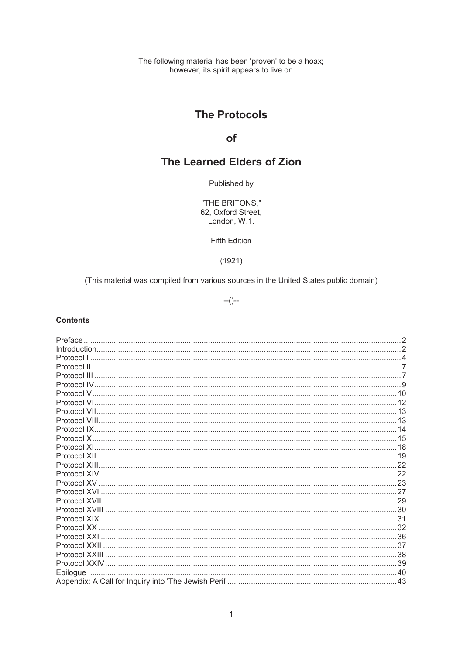The following material has been 'proven' to be a hoax; however, its spirit appears to live on

## **The Protocols**

## of

# The Learned Elders of Zion

Published by

"THE BRITONS," 62, Oxford Street, London, W.1.

**Fifth Edition** 

 $(1921)$ 

(This material was compiled from various sources in the United States public domain)

 $-(-)$ 

## **Contents**

| Protocol I<br>Protocol IX.<br>Protocol XII.<br>Protocol XXI<br>Epilogue | <b>Preface</b> |  |
|-------------------------------------------------------------------------|----------------|--|
|                                                                         |                |  |
|                                                                         |                |  |
|                                                                         |                |  |
|                                                                         |                |  |
|                                                                         |                |  |
|                                                                         |                |  |
|                                                                         |                |  |
|                                                                         |                |  |
|                                                                         |                |  |
|                                                                         |                |  |
|                                                                         |                |  |
|                                                                         |                |  |
|                                                                         |                |  |
|                                                                         |                |  |
|                                                                         |                |  |
|                                                                         |                |  |
|                                                                         |                |  |
|                                                                         |                |  |
|                                                                         |                |  |
|                                                                         |                |  |
|                                                                         |                |  |
|                                                                         |                |  |
|                                                                         |                |  |
|                                                                         |                |  |
|                                                                         |                |  |
|                                                                         |                |  |
|                                                                         |                |  |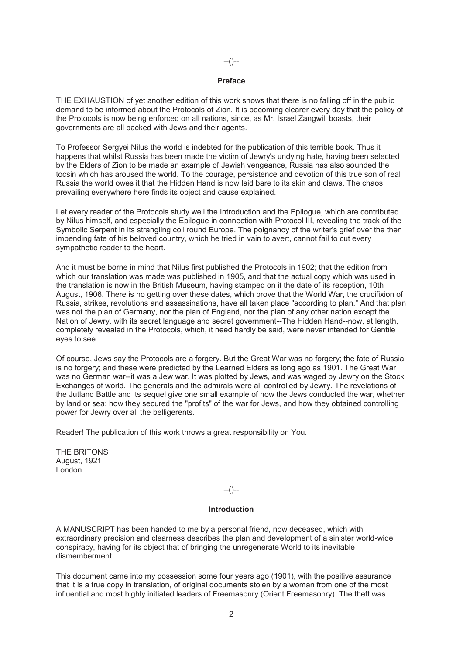#### **Preface**

THE EXHAUSTION of yet another edition of this work shows that there is no falling off in the public demand to be informed about the Protocols of Zion. It is becoming clearer every day that the policy of the Protocols is now being enforced on all nations, since, as Mr. Israel Zangwill boasts, their governments are all packed with Jews and their agents.

To Professor Sergyei Nilus the world is indebted for the publication of this terrible book. Thus it happens that whilst Russia has been made the victim of Jewry's undying hate, having been selected by the Elders of Zion to be made an example of Jewish vengeance, Russia has also sounded the tocsin which has aroused the world. To the courage, persistence and devotion of this true son of real Russia the world owes it that the Hidden Hand is now laid bare to its skin and claws. The chaos prevailing everywhere here finds its object and cause explained.

Let every reader of the Protocols study well the Introduction and the Epilogue, which are contributed by Nilus himself, and especially the Epilogue in connection with Protocol III, revealing the track of the Symbolic Serpent in its strangling coil round Europe. The poignancy of the writer's grief over the then impending fate of his beloved country, which he tried in vain to avert, cannot fail to cut every sympathetic reader to the heart.

And it must be borne in mind that Nilus first published the Protocols in 1902; that the edition from which our translation was made was published in 1905, and that the actual copy which was used in the translation is now in the British Museum, having stamped on it the date of its reception, 10th August, 1906. There is no getting over these dates, which prove that the World War, the crucifixion of Russia, strikes, revolutions and assassinations, have all taken place "according to plan." And that plan was not the plan of Germany, nor the plan of England, nor the plan of any other nation except the Nation of Jewry, with its secret language and secret government--The Hidden Hand--now, at length, completely revealed in the Protocols, which, it need hardly be said, were never intended for Gentile eyes to see.

Of course, Jews say the Protocols are a forgery. But the Great War was no forgery; the fate of Russia is no forgery; and these were predicted by the Learned Elders as long ago as 1901. The Great War was no German war--it was a Jew war. It was plotted by Jews, and was waged by Jewry on the Stock Exchanges of world. The generals and the admirals were all controlled by Jewry. The revelations of the Jutland Battle and its sequel give one small example of how the Jews conducted the war, whether by land or sea; how they secured the "profits" of the war for Jews, and how they obtained controlling power for Jewry over all the belligerents.

Reader! The publication of this work throws a great responsibility on You.

THE BRITONS August, 1921 London

#### --()--

#### **Introduction**

A MANUSCRIPT has been handed to me by a personal friend, now deceased, which with extraordinary precision and clearness describes the plan and development of a sinister world-wide conspiracy, having for its object that of bringing the unregenerate World to its inevitable dismemberment.

This document came into my possession some four years ago (1901), with the positive assurance that it is a true copy in translation, of original documents stolen by a woman from one of the most influential and most highly initiated leaders of Freemasonry (Orient Freemasonry). The theft was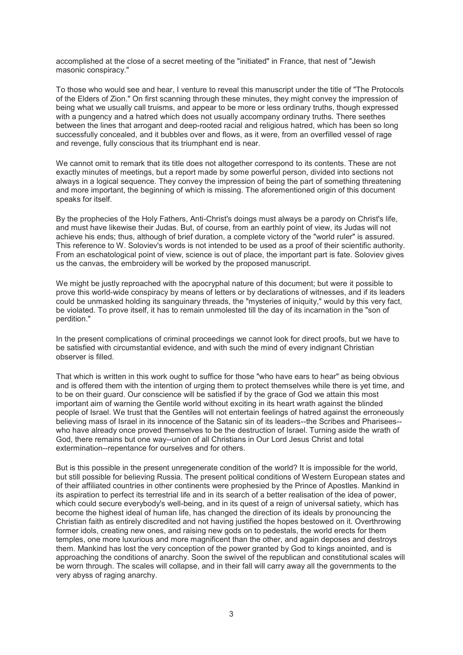accomplished at the close of a secret meeting of the "initiated" in France, that nest of "Jewish masonic conspiracy."

To those who would see and hear, I venture to reveal this manuscript under the title of "The Protocols of the Elders of Zion." On first scanning through these minutes, they might convey the impression of being what we usually call truisms, and appear to be more or less ordinary truths, though expressed with a pungency and a hatred which does not usually accompany ordinary truths. There seethes between the lines that arrogant and deep-rooted racial and religious hatred, which has been so long successfully concealed, and it bubbles over and flows, as it were, from an overfilled vessel of rage and revenge, fully conscious that its triumphant end is near.

We cannot omit to remark that its title does not altogether correspond to its contents. These are not exactly minutes of meetings, but a report made by some powerful person, divided into sections not always in a logical sequence. They convey the impression of being the part of something threatening and more important, the beginning of which is missing. The aforementioned origin of this document speaks for itself.

By the prophecies of the Holy Fathers, Anti-Christ's doings must always be a parody on Christ's life, and must have likewise their Judas. But, of course, from an earthly point of view, its Judas will not achieve his ends; thus, although of brief duration, a complete victory of the "world ruler" is assured. This reference to W. Soloviev's words is not intended to be used as a proof of their scientific authority. From an eschatological point of view, science is out of place, the important part is fate. Soloviev gives us the canvas, the embroidery will be worked by the proposed manuscript.

We might be justly reproached with the apocryphal nature of this document; but were it possible to prove this world-wide conspiracy by means of letters or by declarations of witnesses, and if its leaders could be unmasked holding its sanguinary threads, the "mysteries of iniquity," would by this very fact, be violated. To prove itself, it has to remain unmolested till the day of its incarnation in the "son of perdition."

In the present complications of criminal proceedings we cannot look for direct proofs, but we have to be satisfied with circumstantial evidence, and with such the mind of every indignant Christian observer is filled.

That which is written in this work ought to suffice for those "who have ears to hear" as being obvious and is offered them with the intention of urging them to protect themselves while there is yet time, and to be on their guard. Our conscience will be satisfied if by the grace of God we attain this most important aim of warning the Gentile world without exciting in its heart wrath against the blinded people of Israel. We trust that the Gentiles will not entertain feelings of hatred against the erroneously believing mass of Israel in its innocence of the Satanic sin of its leaders--the Scribes and Pharisees- who have already once proved themselves to be the destruction of Israel. Turning aside the wrath of God, there remains but one way--union of all Christians in Our Lord Jesus Christ and total extermination--repentance for ourselves and for others.

But is this possible in the present unregenerate condition of the world? It is impossible for the world, but still possible for believing Russia. The present political conditions of Western European states and of their affiliated countries in other continents were prophesied by the Prince of Apostles. Mankind in its aspiration to perfect its terrestrial life and in its search of a better realisation of the idea of power, which could secure everybody's well-being, and in its quest of a reign of universal satiety, which has become the highest ideal of human life, has changed the direction of its ideals by pronouncing the Christian faith as entirely discredited and not having justified the hopes bestowed on it. Overthrowing former idols, creating new ones, and raising new gods on to pedestals, the world erects for them temples, one more luxurious and more magnificent than the other, and again deposes and destroys them. Mankind has lost the very conception of the power granted by God to kings anointed, and is approaching the conditions of anarchy. Soon the swivel of the republican and constitutional scales will be worn through. The scales will collapse, and in their fall will carry away all the governments to the very abyss of raging anarchy.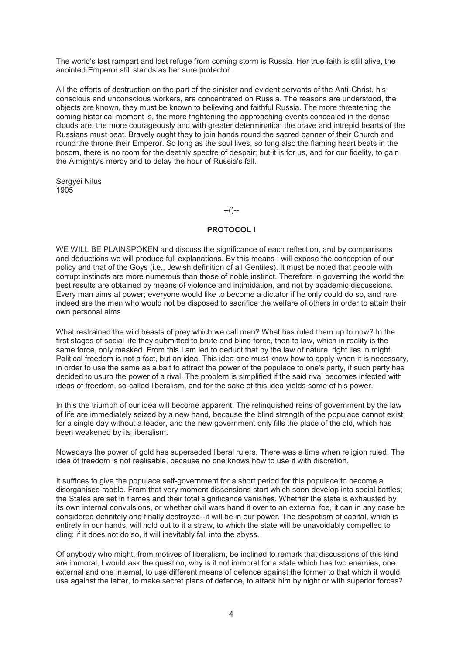The world's last rampart and last refuge from coming storm is Russia. Her true faith is still alive, the anointed Emperor still stands as her sure protector.

All the efforts of destruction on the part of the sinister and evident servants of the Anti-Christ, his conscious and unconscious workers, are concentrated on Russia. The reasons are understood, the objects are known, they must be known to believing and faithful Russia. The more threatening the coming historical moment is, the more frightening the approaching events concealed in the dense clouds are, the more courageously and with greater determination the brave and intrepid hearts of the Russians must beat. Bravely ought they to join hands round the sacred banner of their Church and round the throne their Emperor. So long as the soul lives, so long also the flaming heart beats in the bosom, there is no room for the deathly spectre of despair; but it is for us, and for our fidelity, to gain the Almighty's mercy and to delay the hour of Russia's fall.

Sergyei Nilus 1905

--()--

#### **PROTOCOL I**

WE WILL BE PLAINSPOKEN and discuss the significance of each reflection, and by comparisons and deductions we will produce full explanations. By this means I will expose the conception of our policy and that of the Goys (i.e., Jewish definition of all Gentiles). It must be noted that people with corrupt instincts are more numerous than those of noble instinct. Therefore in governing the world the best results are obtained by means of violence and intimidation, and not by academic discussions. Every man aims at power; everyone would like to become a dictator if he only could do so, and rare indeed are the men who would not be disposed to sacrifice the welfare of others in order to attain their own personal aims.

What restrained the wild beasts of prey which we call men? What has ruled them up to now? In the first stages of social life they submitted to brute and blind force, then to law, which in reality is the same force, only masked. From this I am led to deduct that by the law of nature, right lies in might. Political freedom is not a fact, but an idea. This idea one must know how to apply when it is necessary, in order to use the same as a bait to attract the power of the populace to one's party, if such party has decided to usurp the power of a rival. The problem is simplified if the said rival becomes infected with ideas of freedom, so-called liberalism, and for the sake of this idea yields some of his power.

In this the triumph of our idea will become apparent. The relinguished reins of government by the law of life are immediately seized by a new hand, because the blind strength of the populace cannot exist for a single day without a leader, and the new government only fills the place of the old, which has been weakened by its liberalism.

Nowadays the power of gold has superseded liberal rulers. There was a time when religion ruled. The idea of freedom is not realisable, because no one knows how to use it with discretion.

It suffices to give the populace self-government for a short period for this populace to become a disorganised rabble. From that very moment dissensions start which soon develop into social battles; the States are set in flames and their total significance vanishes. Whether the state is exhausted by its own internal convulsions, or whether civil wars hand it over to an external foe, it can in any case be considered definitely and finally destroyed--it will be in our power. The despotism of capital, which is entirely in our hands, will hold out to it a straw, to which the state will be unavoidably compelled to cling; if it does not do so, it will inevitably fall into the abyss.

Of anybody who might, from motives of liberalism, be inclined to remark that discussions of this kind are immoral, I would ask the question, why is it not immoral for a state which has two enemies, one external and one internal, to use different means of defence against the former to that which it would use against the latter, to make secret plans of defence, to attack him by night or with superior forces?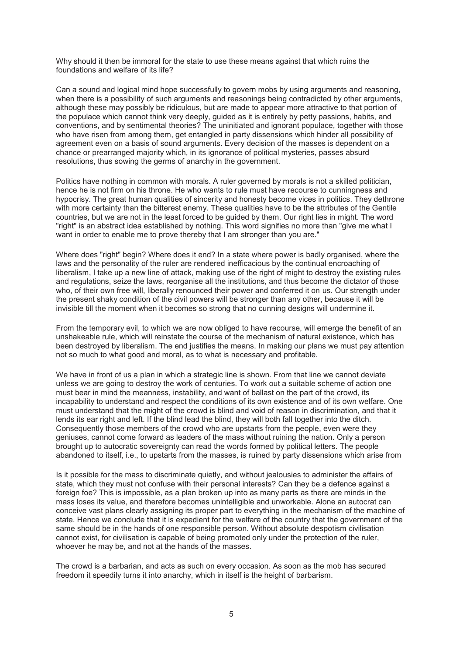Why should it then be immoral for the state to use these means against that which ruins the foundations and welfare of its life?

Can a sound and logical mind hope successfully to govern mobs by using arguments and reasoning, when there is a possibility of such arguments and reasonings being contradicted by other arguments, although these may possibly be ridiculous, but are made to appear more attractive to that portion of the populace which cannot think very deeply, guided as it is entirely by petty passions, habits, and conventions, and by sentimental theories? The uninitiated and ignorant populace, together with those who have risen from among them, get entangled in party dissensions which hinder all possibility of agreement even on a basis of sound arguments. Every decision of the masses is dependent on a chance or prearranged majority which, in its ignorance of political mysteries, passes absurd resolutions, thus sowing the germs of anarchy in the government.

Politics have nothing in common with morals. A ruler governed by morals is not a skilled politician, hence he is not firm on his throne. He who wants to rule must have recourse to cunningness and hypocrisy. The great human qualities of sincerity and honesty become vices in politics. They dethrone with more certainty than the bitterest enemy. These qualities have to be the attributes of the Gentile countries, but we are not in the least forced to be guided by them. Our right lies in might. The word "right" is an abstract idea established by nothing. This word signifies no more than "give me what I want in order to enable me to prove thereby that I am stronger than you are."

Where does "right" begin? Where does it end? In a state where power is badly organised, where the laws and the personality of the ruler are rendered inefficacious by the continual encroaching of liberalism, I take up a new line of attack, making use of the right of might to destroy the existing rules and regulations, seize the laws, reorganise all the institutions, and thus become the dictator of those who, of their own free will, liberally renounced their power and conferred it on us. Our strength under the present shaky condition of the civil powers will be stronger than any other, because it will be invisible till the moment when it becomes so strong that no cunning designs will undermine it.

From the temporary evil, to which we are now obliged to have recourse, will emerge the benefit of an unshakeable rule, which will reinstate the course of the mechanism of natural existence, which has been destroyed by liberalism. The end justifies the means. In making our plans we must pay attention not so much to what good and moral, as to what is necessary and profitable.

We have in front of us a plan in which a strategic line is shown. From that line we cannot deviate unless we are going to destroy the work of centuries. To work out a suitable scheme of action one must bear in mind the meanness, instability, and want of ballast on the part of the crowd, its incapability to understand and respect the conditions of its own existence and of its own welfare. One must understand that the might of the crowd is blind and void of reason in discrimination, and that it lends its ear right and left. If the blind lead the blind, they will both fall together into the ditch. Consequently those members of the crowd who are upstarts from the people, even were they geniuses, cannot come forward as leaders of the mass without ruining the nation. Only a person brought up to autocratic sovereignty can read the words formed by political letters. The people abandoned to itself, i.e., to upstarts from the masses, is ruined by party dissensions which arise from

Is it possible for the mass to discriminate quietly, and without jealousies to administer the affairs of state, which they must not confuse with their personal interests? Can they be a defence against a foreign foe? This is impossible, as a plan broken up into as many parts as there are minds in the mass loses its value, and therefore becomes unintelligible and unworkable. Alone an autocrat can conceive vast plans clearly assigning its proper part to everything in the mechanism of the machine of state. Hence we conclude that it is expedient for the welfare of the country that the government of the same should be in the hands of one responsible person. Without absolute despotism civilisation cannot exist, for civilisation is capable of being promoted only under the protection of the ruler, whoever he may be, and not at the hands of the masses.

The crowd is a barbarian, and acts as such on every occasion. As soon as the mob has secured freedom it speedily turns it into anarchy, which in itself is the height of barbarism.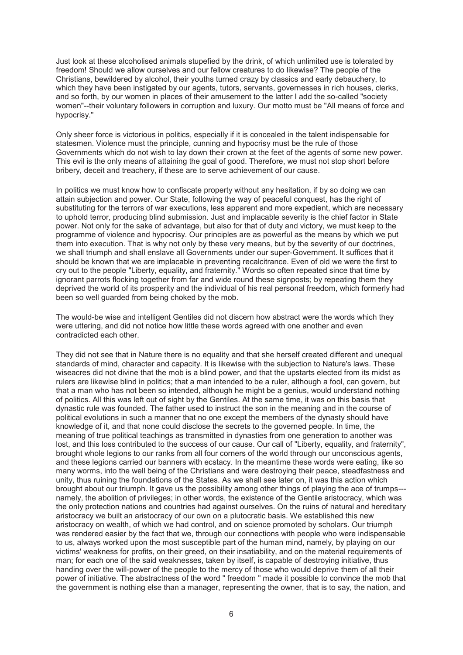Just look at these alcoholised animals stupefied by the drink, of which unlimited use is tolerated by freedom! Should we allow ourselves and our fellow creatures to do likewise? The people of the Christians, bewildered by alcohol, their youths turned crazy by classics and early debauchery, to which they have been instigated by our agents, tutors, servants, governesses in rich houses, clerks, and so forth, by our women in places of their amusement to the latter I add the so-called "society women"--their voluntary followers in corruption and luxury. Our motto must be "All means of force and hypocrisy."

Only sheer force is victorious in politics, especially if it is concealed in the talent indispensable for statesmen. Violence must the principle, cunning and hypocrisy must be the rule of those Governments which do not wish to lay down their crown at the feet of the agents of some new power. This evil is the only means of attaining the goal of good. Therefore, we must not stop short before bribery, deceit and treachery, if these are to serve achievement of our cause.

In politics we must know how to confiscate property without any hesitation, if by so doing we can attain subjection and power. Our State, following the way of peaceful conquest, has the right of substituting for the terrors of war executions, less apparent and more expedient, which are necessary to uphold terror, producing blind submission. Just and implacable severity is the chief factor in State power. Not only for the sake of advantage, but also for that of duty and victory, we must keep to the programme of violence and hypocrisy. Our principles are as powerful as the means by which we put them into execution. That is why not only by these very means, but by the severity of our doctrines, we shall triumph and shall enslave all Governments under our super-Government. It suffices that it should be known that we are implacable in preventing recalcitrance. Even of old we were the first to cry out to the people "Liberty, equality, and fraternity." Words so often repeated since that time by ignorant parrots flocking together from far and wide round these signposts; by repeating them they deprived the world of its prosperity and the individual of his real personal freedom, which formerly had been so well guarded from being choked by the mob.

The would-be wise and intelligent Gentiles did not discern how abstract were the words which they were uttering, and did not notice how little these words agreed with one another and even contradicted each other.

They did not see that in Nature there is no equality and that she herself created different and unequal standards of mind, character and capacity. It is likewise with the subjection to Nature's laws. These wiseacres did not divine that the mob is a blind power, and that the upstarts elected from its midst as rulers are likewise blind in politics; that a man intended to be a ruler, although a fool, can govern, but that a man who has not been so intended, although he might be a genius, would understand nothing of politics. All this was left out of sight by the Gentiles. At the same time, it was on this basis that dynastic rule was founded. The father used to instruct the son in the meaning and in the course of political evolutions in such a manner that no one except the members of the dynasty should have knowledge of it, and that none could disclose the secrets to the governed people. In time, the meaning of true political teachings as transmitted in dynasties from one generation to another was lost, and this loss contributed to the success of our cause. Our call of "Liberty, equality, and fraternity", brought whole legions to our ranks from all four corners of the world through our unconscious agents, and these legions carried our banners with ecstacy. In the meantime these words were eating, like so many worms, into the well being of the Christians and were destroying their peace, steadfastness and unity, thus ruining the foundations of the States. As we shall see later on, it was this action which brought about our triumph. It gave us the possibility among other things of playing the ace of trumps-- namely, the abolition of privileges; in other words, the existence of the Gentile aristocracy, which was the only protection nations and countries had against ourselves. On the ruins of natural and hereditary aristocracy we built an aristocracy of our own on a plutocratic basis. We established this new aristocracy on wealth, of which we had control, and on science promoted by scholars. Our triumph was rendered easier by the fact that we, through our connections with people who were indispensable to us, always worked upon the most susceptible part of the human mind, namely, by playing on our victims' weakness for profits, on their greed, on their insatiability, and on the material requirements of man; for each one of the said weaknesses, taken by itself, is capable of destroying initiative, thus handing over the will-power of the people to the mercy of those who would deprive them of all their power of initiative. The abstractness of the word " freedom " made it possible to convince the mob that the government is nothing else than a manager, representing the owner, that is to say, the nation, and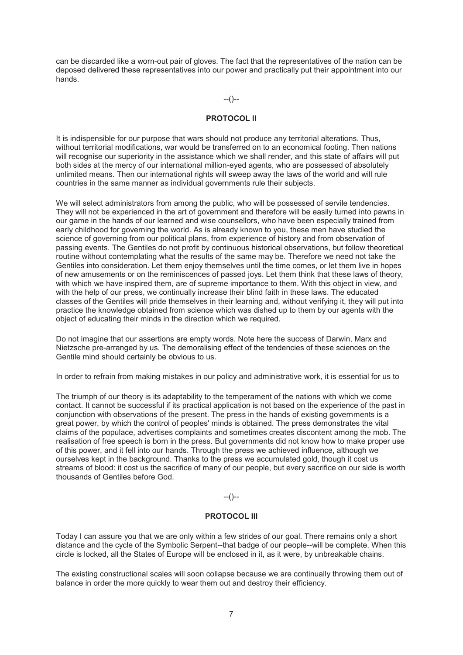can be discarded like a worn-out pair of gloves. The fact that the representatives of the nation can be deposed delivered these representatives into our power and practically put their appointment into our hands.

--()--

#### **PROTOCOL II**

It is indispensible for our purpose that wars should not produce any territorial alterations. Thus, without territorial modifications, war would be transferred on to an economical footing. Then nations will recognise our superiority in the assistance which we shall render, and this state of affairs will put both sides at the mercy of our international million-eyed agents, who are possessed of absolutely unlimited means. Then our international rights will sweep away the laws of the world and will rule countries in the same manner as individual governments rule their subjects.

We will select administrators from among the public, who will be possessed of servile tendencies. They will not be experienced in the art of government and therefore will be easily turned into pawns in our game in the hands of our learned and wise counsellors, who have been especially trained from early childhood for governing the world. As is already known to you, these men have studied the science of governing from our political plans, from experience of history and from observation of passing events. The Gentiles do not profit by continuous historical observations, but follow theoretical routine without contemplating what the results of the same may be. Therefore we need not take the Gentiles into consideration. Let them enjoy themselves until the time comes, or let them live in hopes of new amusements or on the reminiscences of passed joys. Let them think that these laws of theory, with which we have inspired them, are of supreme importance to them. With this object in view, and with the help of our press, we continually increase their blind faith in these laws. The educated classes of the Gentiles will pride themselves in their learning and, without verifying it, they will put into practice the knowledge obtained from science which was dished up to them by our agents with the object of educating their minds in the direction which we required.

Do not imagine that our assertions are empty words. Note here the success of Darwin, Marx and Nietzsche pre-arranged by us. The demoralising effect of the tendencies of these sciences on the Gentile mind should certainly be obvious to us.

In order to refrain from making mistakes in our policy and administrative work, it is essential for us to

The triumph of our theory is its adaptability to the temperament of the nations with which we come contact. It cannot be successful if its practical application is not based on the experience of the past in conjunction with observations of the present. The press in the hands of existing governments is a great power, by which the control of peoples' minds is obtained. The press demonstrates the vital claims of the populace, advertises complaints and sometimes creates discontent among the mob. The realisation of free speech is born in the press. But governments did not know how to make proper use of this power, and it fell into our hands. Through the press we achieved influence, although we ourselves kept in the background. Thanks to the press we accumulated gold, though it cost us streams of blood: it cost us the sacrifice of many of our people, but every sacrifice on our side is worth thousands of Gentiles before God.

--()--

#### **PROTOCOL III**

Today I can assure you that we are only within a few strides of our goal. There remains only a short distance and the cycle of the Symbolic Serpent--that badge of our people--will be complete. When this circle is locked, all the States of Europe will be enclosed in it, as it were, by unbreakable chains.

The existing constructional scales will soon collapse because we are continually throwing them out of balance in order the more quickly to wear them out and destroy their efficiency.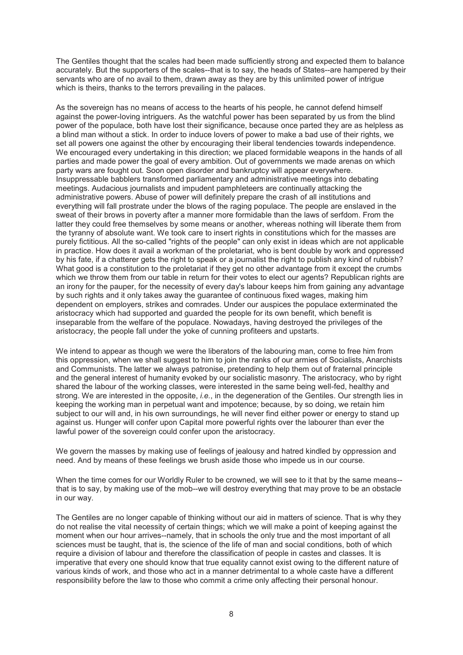The Gentiles thought that the scales had been made sufficiently strong and expected them to balance accurately. But the supporters of the scales--that is to say, the heads of States--are hampered by their servants who are of no avail to them, drawn away as they are by this unlimited power of intrigue which is theirs, thanks to the terrors prevailing in the palaces.

As the sovereign has no means of access to the hearts of his people, he cannot defend himself against the power-loving intriguers. As the watchful power has been separated by us from the blind power of the populace, both have lost their significance, because once parted they are as helpless as a blind man without a stick. In order to induce lovers of power to make a bad use of their rights, we set all powers one against the other by encouraging their liberal tendencies towards independence. We encouraged every undertaking in this direction; we placed formidable weapons in the hands of all parties and made power the goal of every ambition. Out of governments we made arenas on which party wars are fought out. Soon open disorder and bankruptcy will appear everywhere. Insuppressable babblers transformed parliamentary and administrative meetings into debating meetings. Audacious journalists and impudent pamphleteers are continually attacking the administrative powers. Abuse of power will definitely prepare the crash of all institutions and everything will fall prostrate under the blows of the raging populace. The people are enslaved in the sweat of their brows in poverty after a manner more formidable than the laws of serfdom. From the latter they could free themselves by some means or another, whereas nothing will liberate them from the tyranny of absolute want. We took care to insert rights in constitutions which for the masses are purely fictitious. All the so-called "rights of the people" can only exist in ideas which are not applicable in practice. How does it avail a workman of the proletariat, who is bent double by work and oppressed by his fate, if a chatterer gets the right to speak or a journalist the right to publish any kind of rubbish? What good is a constitution to the proletariat if they get no other advantage from it except the crumbs which we throw them from our table in return for their votes to elect our agents? Republican rights are an irony for the pauper, for the necessity of every day's labour keeps him from gaining any advantage by such rights and it only takes away the guarantee of continuous fixed wages, making him dependent on employers, strikes and comrades. Under our auspices the populace exterminated the aristocracy which had supported and guarded the people for its own benefit, which benefit is inseparable from the welfare of the populace. Nowadays, having destroyed the privileges of the aristocracy, the people fall under the yoke of cunning profiteers and upstarts.

We intend to appear as though we were the liberators of the labouring man, come to free him from this oppression, when we shall suggest to him to join the ranks of our armies of Socialists, Anarchists and Communists. The latter we always patronise, pretending to help them out of fraternal principle and the general interest of humanity evoked by our socialistic masonry. The aristocracy, who by right shared the labour of the working classes, were interested in the same being well-fed, healthy and strong. We are interested in the opposite, *i.e.*, in the degeneration of the Gentiles. Our strength lies in keeping the working man in perpetual want and impotence; because, by so doing, we retain him subject to our will and, in his own surroundings, he will never find either power or energy to stand up against us. Hunger will confer upon Capital more powerful rights over the labourer than ever the lawful power of the sovereign could confer upon the aristocracy.

We govern the masses by making use of feelings of jealousy and hatred kindled by oppression and need. And by means of these feelings we brush aside those who impede us in our course.

When the time comes for our Worldly Ruler to be crowned, we will see to it that by the same means- that is to say, by making use of the mob--we will destroy everything that may prove to be an obstacle in our way.

The Gentiles are no longer capable of thinking without our aid in matters of science. That is why they do not realise the vital necessity of certain things; which we will make a point of keeping against the moment when our hour arrives--namely, that in schools the only true and the most important of all sciences must be taught, that is, the science of the life of man and social conditions, both of which require a division of labour and therefore the classification of people in castes and classes. It is imperative that every one should know that true equality cannot exist owing to the different nature of various kinds of work, and those who act in a manner detrimental to a whole caste have a different responsibility before the law to those who commit a crime only affecting their personal honour.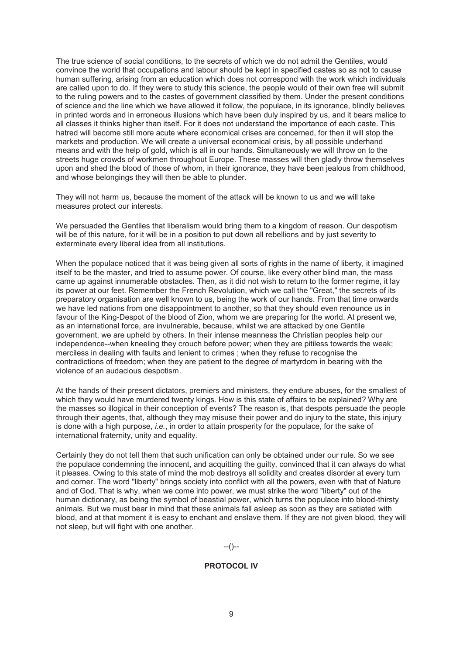The true science of social conditions, to the secrets of which we do not admit the Gentiles, would convince the world that occupations and labour should be kept in specified castes so as not to cause human suffering, arising from an education which does not correspond with the work which individuals are called upon to do. If they were to study this science, the people would of their own free will submit to the ruling powers and to the castes of government classified by them. Under the present conditions of science and the line which we have allowed it follow, the populace, in its ignorance, blindly believes in printed words and in erroneous illusions which have been duly inspired by us, and it bears malice to all classes it thinks higher than itself. For it does not understand the importance of each caste. This hatred will become still more acute where economical crises are concerned, for then it will stop the markets and production. We will create a universal economical crisis, by all possible underhand means and with the help of gold, which is all in our hands. Simultaneously we will throw on to the streets huge crowds of workmen throughout Europe. These masses will then gladly throw themselves upon and shed the blood of those of whom, in their ignorance, they have been jealous from childhood, and whose belongings they will then be able to plunder.

They will not harm us, because the moment of the attack will be known to us and we will take measures protect our interests.

We persuaded the Gentiles that liberalism would bring them to a kingdom of reason. Our despotism will be of this nature, for it will be in a position to put down all rebellions and by just severity to exterminate every liberal idea from all institutions.

When the populace noticed that it was being given all sorts of rights in the name of liberty, it imagined itself to be the master, and tried to assume power. Of course, like every other blind man, the mass came up against innumerable obstacles. Then, as it did not wish to return to the former regime, it lay its power at our feet. Remember the French Revolution, which we call the "Great," the secrets of its preparatory organisation are well known to us, being the work of our hands. From that time onwards we have led nations from one disappointment to another, so that they should even renounce us in favour of the King-Despot of the blood of Zion, whom we are preparing for the world. At present we, as an international force, are invulnerable, because, whilst we are attacked by one Gentile government, we are upheld by others. In their intense meanness the Christian peoples help our independence--when kneeling they crouch before power; when they are pitiless towards the weak; merciless in dealing with faults and lenient to crimes ; when they refuse to recognise the contradictions of freedom; when they are patient to the degree of martyrdom in bearing with the violence of an audacious despotism.

At the hands of their present dictators, premiers and ministers, they endure abuses, for the smallest of which they would have murdered twenty kings. How is this state of affairs to be explained? Why are the masses so illogical in their conception of events? The reason is, that despots persuade the people through their agents, that, although they may misuse their power and do injury to the state, this injury is done with a high purpose, *i.e.*, in order to attain prosperity for the populace, for the sake of international fraternity, unity and equality.

Certainly they do not tell them that such unification can only be obtained under our rule. So we see the populace condemning the innocent, and acquitting the guilty, convinced that it can always do what it pleases. Owing to this state of mind the mob destroys all solidity and creates disorder at every turn and corner. The word "liberty" brings society into conflict with all the powers, even with that of Nature and of God. That is why, when we come into power, we must strike the word "liberty" out of the human dictionary, as being the symbol of beastial power, which turns the populace into blood-thirsty animals. But we must bear in mind that these animals fall asleep as soon as they are satiated with blood, and at that moment it is easy to enchant and enslave them. If they are not given blood, they will not sleep, but will fight with one another.

#### --()--

## **PROTOCOL IV**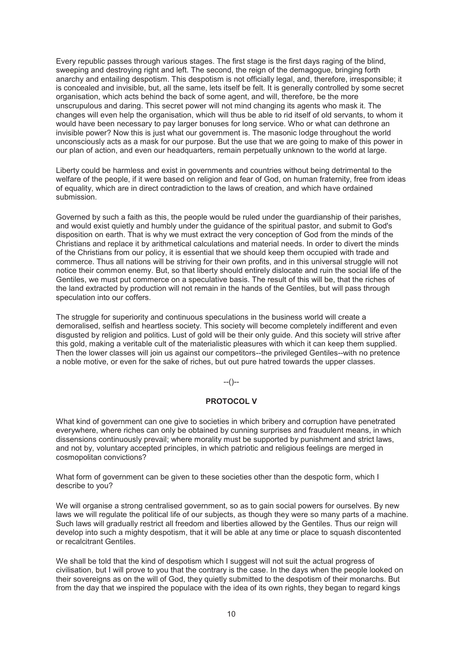Every republic passes through various stages. The first stage is the first days raging of the blind, sweeping and destroying right and left. The second, the reign of the demagogue, bringing forth anarchy and entailing despotism. This despotism is not officially legal, and, therefore, irresponsible; it is concealed and invisible, but, all the same, lets itself be felt. It is generally controlled by some secret organisation, which acts behind the back of some agent, and will, therefore, be the more unscrupulous and daring. This secret power will not mind changing its agents who mask it. The changes will even help the organisation, which will thus be able to rid itself of old servants, to whom it would have been necessary to pay larger bonuses for long service. Who or what can dethrone an invisible power? Now this is just what our government is. The masonic lodge throughout the world unconsciously acts as a mask for our purpose. But the use that we are going to make of this power in our plan of action, and even our headquarters, remain perpetually unknown to the world at large.

Liberty could be harmless and exist in governments and countries without being detrimental to the welfare of the people, if it were based on religion and fear of God, on human fraternity, free from ideas of equality, which are in direct contradiction to the laws of creation, and which have ordained submission.

Governed by such a faith as this, the people would be ruled under the guardianship of their parishes, and would exist quietly and humbly under the guidance of the spiritual pastor, and submit to God's disposition on earth. That is why we must extract the very conception of God from the minds of the Christians and replace it by arithmetical calculations and material needs. In order to divert the minds of the Christians from our policy, it is essential that we should keep them occupied with trade and commerce. Thus all nations will be striving for their own profits, and in this universal struggle will not notice their common enemy. But, so that liberty should entirely dislocate and ruin the social life of the Gentiles, we must put commerce on a speculative basis. The result of this will be, that the riches of the land extracted by production will not remain in the hands of the Gentiles, but will pass through speculation into our coffers.

The struggle for superiority and continuous speculations in the business world will create a demoralised, selfish and heartless society. This society will become completely indifferent and even disgusted by religion and politics. Lust of gold will be their only guide. And this society will strive after this gold, making a veritable cult of the materialistic pleasures with which it can keep them supplied. Then the lower classes will join us against our competitors--the privileged Gentiles--with no pretence a noble motive, or even for the sake of riches, but out pure hatred towards the upper classes.

#### --()--

## **PROTOCOL V**

What kind of government can one give to societies in which bribery and corruption have penetrated everywhere, where riches can only be obtained by cunning surprises and fraudulent means, in which dissensions continuously prevail; where morality must be supported by punishment and strict laws, and not by, voluntary accepted principles, in which patriotic and religious feelings are merged in cosmopolitan convictions?

What form of government can be given to these societies other than the despotic form, which I describe to you?

We will organise a strong centralised government, so as to gain social powers for ourselves. By new laws we will regulate the political life of our subjects, as though they were so many parts of a machine. Such laws will gradually restrict all freedom and liberties allowed by the Gentiles. Thus our reign will develop into such a mighty despotism, that it will be able at any time or place to squash discontented or recalcitrant Gentiles.

We shall be told that the kind of despotism which I suggest will not suit the actual progress of civilisation, but I will prove to you that the contrary is the case. In the days when the people looked on their sovereigns as on the will of God, they quietly submitted to the despotism of their monarchs. But from the day that we inspired the populace with the idea of its own rights, they began to regard kings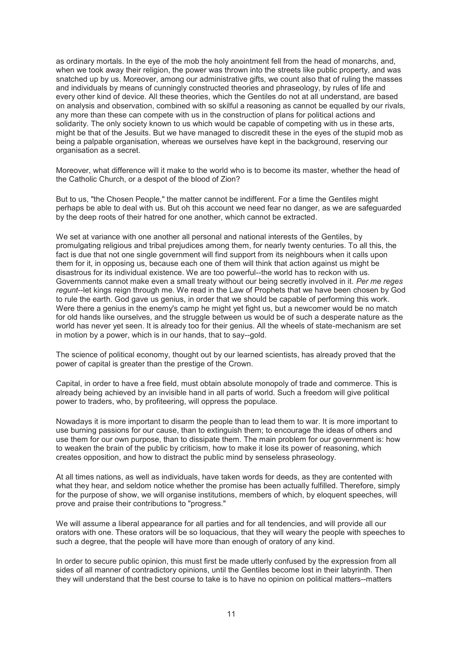as ordinary mortals. In the eye of the mob the holy anointment fell from the head of monarchs, and, when we took away their religion, the power was thrown into the streets like public property, and was snatched up by us. Moreover, among our administrative gifts, we count also that of ruling the masses and individuals by means of cunningly constructed theories and phraseology, by rules of life and every other kind of device. All these theories, which the Gentiles do not at all understand, are based on analysis and observation, combined with so skilful a reasoning as cannot be equalled by our rivals, any more than these can compete with us in the construction of plans for political actions and solidarity. The only society known to us which would be capable of competing with us in these arts, might be that of the Jesuits. But we have managed to discredit these in the eyes of the stupid mob as being a palpable organisation, whereas we ourselves have kept in the background, reserving our organisation as a secret.

Moreover, what difference will it make to the world who is to become its master, whether the head of the Catholic Church, or a despot of the blood of Zion?

But to us, "the Chosen People," the matter cannot be indifferent. For a time the Gentiles might perhaps be able to deal with us. But oh this account we need fear no danger, as we are safeguarded by the deep roots of their hatred for one another, which cannot be extracted.

We set at variance with one another all personal and national interests of the Gentiles, by promulgating religious and tribal prejudices among them, for nearly twenty centuries. To all this, the fact is due that not one single government will find support from its neighbours when it calls upon them for it, in opposing us, because each one of them will think that action against us might be disastrous for its individual existence. We are too powerful--the world has to reckon with us. Governments cannot make even a small treaty without our being secretly involved in it. *Per me reges regunt*--let kings reign through me. We read in the Law of Prophets that we have been chosen by God to rule the earth. God gave us genius, in order that we should be capable of performing this work. Were there a genius in the enemy's camp he might yet fight us, but a newcomer would be no match for old hands like ourselves, and the struggle between us would be of such a desperate nature as the world has never yet seen. It is already too for their genius. All the wheels of state-mechanism are set in motion by a power, which is in our hands, that to say--gold.

The science of political economy, thought out by our learned scientists, has already proved that the power of capital is greater than the prestige of the Crown.

Capital, in order to have a free field, must obtain absolute monopoly of trade and commerce. This is already being achieved by an invisible hand in all parts of world. Such a freedom will give political power to traders, who, by profiteering, will oppress the populace.

Nowadays it is more important to disarm the people than to lead them to war. It is more important to use burning passions for our cause, than to extinguish them; to encourage the ideas of others and use them for our own purpose, than to dissipate them. The main problem for our government is: how to weaken the brain of the public by criticism, how to make it lose its power of reasoning, which creates opposition, and how to distract the public mind by senseless phraseology.

At all times nations, as well as individuals, have taken words for deeds, as they are contented with what they hear, and seldom notice whether the promise has been actually fulfilled. Therefore, simply for the purpose of show, we will organise institutions, members of which, by eloquent speeches, will prove and praise their contributions to "progress."

We will assume a liberal appearance for all parties and for all tendencies, and will provide all our orators with one. These orators will be so loquacious, that they will weary the people with speeches to such a degree, that the people will have more than enough of oratory of any kind.

In order to secure public opinion, this must first be made utterly confused by the expression from all sides of all manner of contradictory opinions, until the Gentiles become lost in their labyrinth. Then they will understand that the best course to take is to have no opinion on political matters--matters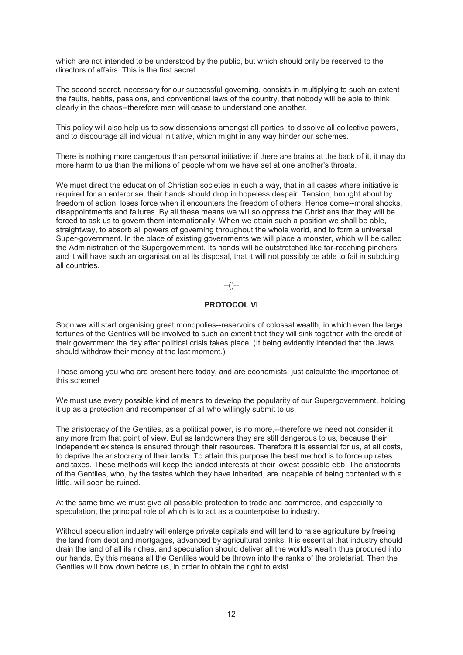which are not intended to be understood by the public, but which should only be reserved to the directors of affairs. This is the first secret.

The second secret, necessary for our successful governing, consists in multiplying to such an extent the faults, habits, passions, and conventional laws of the country, that nobody will be able to think clearly in the chaos--therefore men will cease to understand one another.

This policy will also help us to sow dissensions amongst all parties, to dissolve all collective powers, and to discourage all individual initiative, which might in any way hinder our schemes.

There is nothing more dangerous than personal initiative: if there are brains at the back of it, it may do more harm to us than the millions of people whom we have set at one another's throats.

We must direct the education of Christian societies in such a way, that in all cases where initiative is required for an enterprise, their hands should drop in hopeless despair. Tension, brought about by freedom of action, loses force when it encounters the freedom of others. Hence come--moral shocks, disappointments and failures. By all these means we will so oppress the Christians that they will be forced to ask us to govern them internationally. When we attain such a position we shall be able, straightway, to absorb all powers of governing throughout the whole world, and to form a universal Super-government. In the place of existing governments we will place a monster, which will be called the Administration of the Supergovernment. Its hands will be outstretched like far-reaching pinchers, and it will have such an organisation at its disposal, that it will not possibly be able to fail in subduing all countries.

--()--

## **PROTOCOL VI**

Soon we will start organising great monopolies--reservoirs of colossal wealth, in which even the large fortunes of the Gentiles will be involved to such an extent that they will sink together with the credit of their government the day after political crisis takes place. (It being evidently intended that the Jews should withdraw their money at the last moment.)

Those among you who are present here today, and are economists, just calculate the importance of this scheme!

We must use every possible kind of means to develop the popularity of our Supergovernment, holding it up as a protection and recompenser of all who willingly submit to us.

The aristocracy of the Gentiles, as a political power, is no more,--therefore we need not consider it any more from that point of view. But as landowners they are still dangerous to us, because their independent existence is ensured through their resources. Therefore it is essential for us, at all costs, to deprive the aristocracy of their lands. To attain this purpose the best method is to force up rates and taxes. These methods will keep the landed interests at their lowest possible ebb. The aristocrats of the Gentiles, who, by the tastes which they have inherited, are incapable of being contented with a little, will soon be ruined.

At the same time we must give all possible protection to trade and commerce, and especially to speculation, the principal role of which is to act as a counterpoise to industry.

Without speculation industry will enlarge private capitals and will tend to raise agriculture by freeing the land from debt and mortgages, advanced by agricultural banks. It is essential that industry should drain the land of all its riches, and speculation should deliver all the world's wealth thus procured into our hands. By this means all the Gentiles would be thrown into the ranks of the proletariat. Then the Gentiles will bow down before us, in order to obtain the right to exist.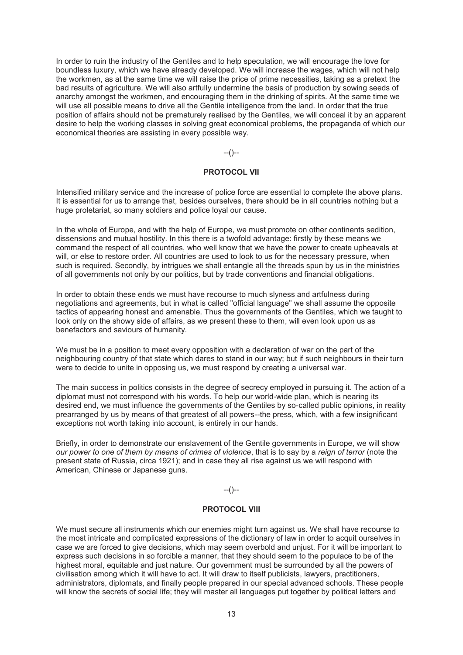In order to ruin the industry of the Gentiles and to help speculation, we will encourage the love for boundless luxury, which we have already developed. We will increase the wages, which will not help the workmen, as at the same time we will raise the price of prime necessities, taking as a pretext the bad results of agriculture. We will also artfully undermine the basis of production by sowing seeds of anarchy amongst the workmen, and encouraging them in the drinking of spirits. At the same time we will use all possible means to drive all the Gentile intelligence from the land. In order that the true position of affairs should not be prematurely realised by the Gentiles, we will conceal it by an apparent desire to help the working classes in solving great economical problems, the propaganda of which our economical theories are assisting in every possible way.

--()--

#### **PROTOCOL VII**

Intensified military service and the increase of police force are essential to complete the above plans. It is essential for us to arrange that, besides ourselves, there should be in all countries nothing but a huge proletariat, so many soldiers and police loyal our cause.

In the whole of Europe, and with the help of Europe, we must promote on other continents sedition, dissensions and mutual hostility. In this there is a twofold advantage: firstly by these means we command the respect of all countries, who well know that we have the power to create upheavals at will, or else to restore order. All countries are used to look to us for the necessary pressure, when such is required. Secondly, by intrigues we shall entangle all the threads spun by us in the ministries of all governments not only by our politics, but by trade conventions and financial obligations.

In order to obtain these ends we must have recourse to much slyness and artfulness during negotiations and agreements, but in what is called "official language" we shall assume the opposite tactics of appearing honest and amenable. Thus the governments of the Gentiles, which we taught to look only on the showy side of affairs, as we present these to them, will even look upon us as benefactors and saviours of humanity.

We must be in a position to meet every opposition with a declaration of war on the part of the neighbouring country of that state which dares to stand in our way; but if such neighbours in their turn were to decide to unite in opposing us, we must respond by creating a universal war.

The main success in politics consists in the degree of secrecy employed in pursuing it. The action of a diplomat must not correspond with his words. To help our world-wide plan, which is nearing its desired end, we must influence the governments of the Gentiles by so-called public opinions, in reality prearranged by us by means of that greatest of all powers--the press, which, with a few insignificant exceptions not worth taking into account, is entirely in our hands.

Briefly, in order to demonstrate our enslavement of the Gentile governments in Europe, we will show *our power to one of them by means of crimes of violence*, that is to say by a *reign of terror* (note the present state of Russia, circa 1921); and in case they all rise against us we will respond with American, Chinese or Japanese guns.

## $-(-)$

#### **PROTOCOL VIII**

We must secure all instruments which our enemies might turn against us. We shall have recourse to the most intricate and complicated expressions of the dictionary of law in order to acquit ourselves in case we are forced to give decisions, which may seem overbold and unjust. For it will be important to express such decisions in so forcible a manner, that they should seem to the populace to be of the highest moral, equitable and just nature. Our government must be surrounded by all the powers of civilisation among which it will have to act. It will draw to itself publicists, lawyers, practitioners, administrators, diplomats, and finally people prepared in our special advanced schools. These people will know the secrets of social life; they will master all languages put together by political letters and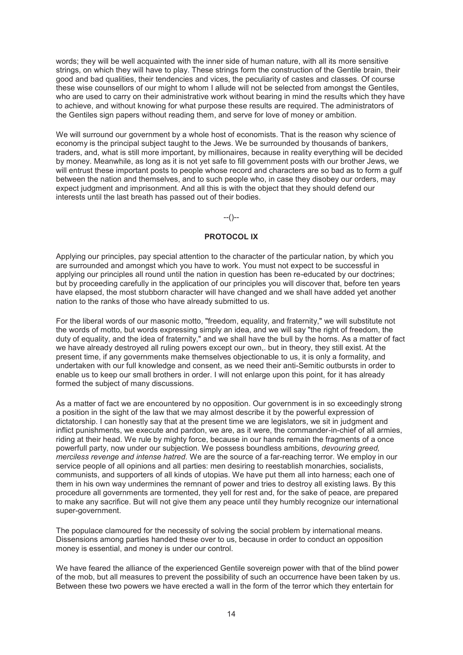words; they will be well acquainted with the inner side of human nature, with all its more sensitive strings, on which they will have to play. These strings form the construction of the Gentile brain, their good and bad qualities, their tendencies and vices, the peculiarity of castes and classes. Of course these wise counsellors of our might to whom I allude will not be selected from amongst the Gentiles, who are used to carry on their administrative work without bearing in mind the results which they have to achieve, and without knowing for what purpose these results are required. The administrators of the Gentiles sign papers without reading them, and serve for love of money or ambition.

We will surround our government by a whole host of economists. That is the reason why science of economy is the principal subject taught to the Jews. We be surrounded by thousands of bankers, traders, and, what is still more important, by millionaires, because in reality everything will be decided by money. Meanwhile, as long as it is not yet safe to fill government posts with our brother Jews, we will entrust these important posts to people whose record and characters are so bad as to form a gulf between the nation and themselves, and to such people who, in case they disobey our orders, may expect judgment and imprisonment. And all this is with the object that they should defend our interests until the last breath has passed out of their bodies.

#### $-(-)$

#### **PROTOCOL IX**

Applying our principles, pay special attention to the character of the particular nation, by which you are surrounded and amongst which you have to work. You must not expect to be successful in applying our principles all round until the nation in question has been re-educated by our doctrines; but by proceeding carefully in the application of our principles you will discover that, before ten years have elapsed, the most stubborn character will have changed and we shall have added yet another nation to the ranks of those who have already submitted to us.

For the liberal words of our masonic motto, "freedom, equality, and fraternity," we will substitute not the words of motto, but words expressing simply an idea, and we will say "the right of freedom, the duty of equality, and the idea of fraternity," and we shall have the bull by the horns. As a matter of fact we have already destroyed all ruling powers except our own,. but in theory, they still exist. At the present time, if any governments make themselves objectionable to us, it is only a formality, and undertaken with our full knowledge and consent, as we need their anti-Semitic outbursts in order to enable us to keep our small brothers in order. I will not enlarge upon this point, for it has already formed the subject of many discussions.

As a matter of fact we are encountered by no opposition. Our government is in so exceedingly strong a position in the sight of the law that we may almost describe it by the powerful expression of dictatorship. I can honestly say that at the present time we are legislators, we sit in judgment and inflict punishments, we execute and pardon, we are, as it were, the commander-in-chief of all armies, riding at their head. We rule by mighty force, because in our hands remain the fragments of a once powerfull party, now under our subjection. We possess boundless ambitions, *devouring greed, merciless revenge and intense hatred.* We are the source of a far-reaching terror. We employ in our service people of all opinions and all parties: men desiring to reestablish monarchies, socialists, communists, and supporters of all kinds of utopias. We have put them all into harness; each one of them in his own way undermines the remnant of power and tries to destroy all existing laws. By this procedure all governments are tormented, they yell for rest and, for the sake of peace, are prepared to make any sacrifice. But will not give them any peace until they humbly recognize our international super-government.

The populace clamoured for the necessity of solving the social problem by international means. Dissensions among parties handed these over to us, because in order to conduct an opposition money is essential, and money is under our control.

We have feared the alliance of the experienced Gentile sovereign power with that of the blind power of the mob, but all measures to prevent the possibility of such an occurrence have been taken by us. Between these two powers we have erected a wall in the form of the terror which they entertain for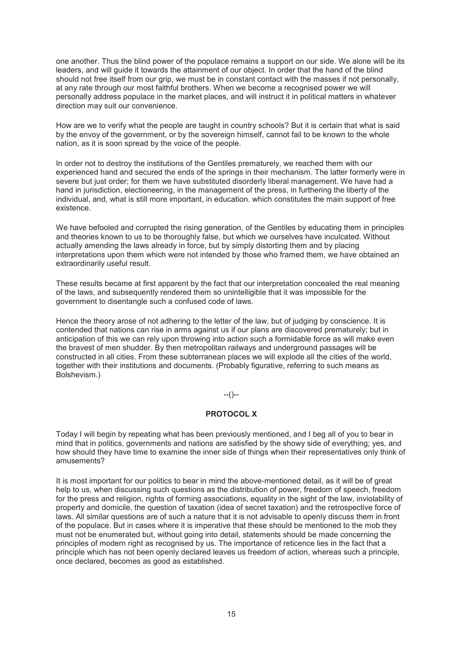one another. Thus the blind power of the populace remains a support on our side. We alone will be its leaders, and will guide it towards the attainment of our object. In order that the hand of the blind should not free itself from our grip, we must be in constant contact with the masses if not personally, at any rate through our most faithful brothers. When we become a recognised power we will personally address populace in the market places, and will instruct it in political matters in whatever direction may suit our convenience.

How are we to verify what the people are taught in country schools? But it is certain that what is said by the envoy of the government, or by the sovereign himself, cannot fail to be known to the whole nation, as it is soon spread by the voice of the people.

In order not to destroy the institutions of the Gentiles prematurely, we reached them with our experienced hand and secured the ends of the springs in their mechanism. The latter formerly were in severe but just order; for them we have substituted disorderly liberal management. We have had a hand in jurisdiction, electioneering, in the management of the press, in furthering the liberty of the individual, and, what is still more important, in education. which constitutes the main support of free existence.

We have befooled and corrupted the rising generation, of the Gentiles by educating them in principles and theories known to us to be thoroughly false, but which we ourselves have inculcated. Without actually amending the laws already in force, but by simply distorting them and by placing interpretations upon them which were not intended by those who framed them, we have obtained an extraordinarily useful result.

These results became at first apparent by the fact that our interpretation concealed the real meaning of the laws, and subsequently rendered them so unintelligible that it was impossible for the government to disentangle such a confused code of laws.

Hence the theory arose of not adhering to the letter of the law, but of judging by conscience. It is contended that nations can rise in arms against us if our plans are discovered prematurely; but in anticipation of this we can rely upon throwing into action such a formidable force as will make even the bravest of men shudder. By then metropolitan railways and underground passages will be constructed in all cities. From these subterranean places we will explode all the cities of the world, together with their institutions and documents. (Probably figurative, referring to such means as Bolshevism.)

--()--

## **PROTOCOL X**

Today I will begin by repeating what has been previously mentioned, and I beg all of you to bear in mind that in politics, governments and nations are satisfied by the showy side of everything; yes, and how should they have time to examine the inner side of things when their representatives only think of amusements?

It is most important for our politics to bear in mind the above-mentioned detail, as it will be of great help to us, when discussing such questions as the distribution of power, freedom of speech, freedom for the press and religion, rights of forming associations, equality in the sight of the law, inviolability of property and domicile, the question of taxation (idea of secret taxation) and the retrospective force of laws. All similar questions are of such a nature that it is not advisable to openly discuss them in front of the populace. But in cases where it is imperative that these should be mentioned to the mob they must not be enumerated but, without going into detail, statements should be made concerning the principles of modern right as recognised by us. The importance of reticence lies in the fact that a principle which has not been openly declared leaves us freedom of action, whereas such a principle, once declared, becomes as good as established.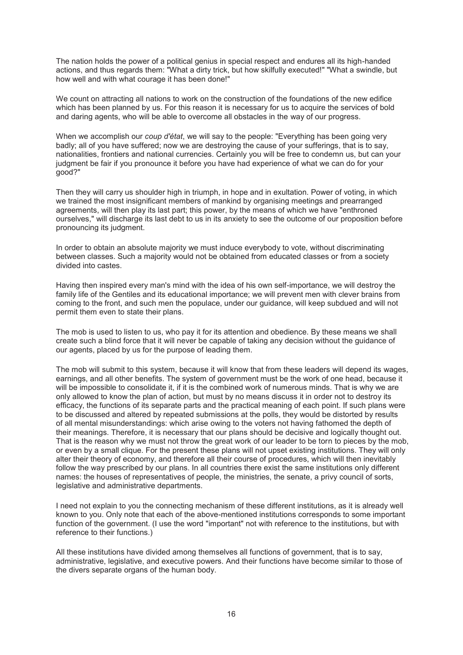The nation holds the power of a political genius in special respect and endures all its high-handed actions, and thus regards them: "What a dirty trick, but how skilfully executed!" "What a swindle, but how well and with what courage it has been done!"

We count on attracting all nations to work on the construction of the foundations of the new edifice which has been planned by us. For this reason it is necessary for us to acquire the services of bold and daring agents, who will be able to overcome all obstacles in the way of our progress.

When we accomplish our *coup d'état*, we will say to the people: "Everything has been going very badly; all of you have suffered; now we are destroying the cause of your sufferings, that is to say, nationalities, frontiers and national currencies. Certainly you will be free to condemn us, but can your judgment be fair if you pronounce it before you have had experience of what we can do for your good?"

Then they will carry us shoulder high in triumph, in hope and in exultation. Power of voting, in which we trained the most insignificant members of mankind by organising meetings and prearranged agreements, will then play its last part; this power, by the means of which we have "enthroned ourselves," will discharge its last debt to us in its anxiety to see the outcome of our proposition before pronouncing its judgment.

In order to obtain an absolute majority we must induce everybody to vote, without discriminating between classes. Such a majority would not be obtained from educated classes or from a society divided into castes.

Having then inspired every man's mind with the idea of his own self-importance, we will destroy the family life of the Gentiles and its educational importance; we will prevent men with clever brains from coming to the front, and such men the populace, under our guidance, will keep subdued and will not permit them even to state their plans.

The mob is used to listen to us, who pay it for its attention and obedience. By these means we shall create such a blind force that it will never be capable of taking any decision without the guidance of our agents, placed by us for the purpose of leading them.

The mob will submit to this system, because it will know that from these leaders will depend its wages, earnings, and all other benefits. The system of government must be the work of one head, because it will be impossible to consolidate it, if it is the combined work of numerous minds. That is why we are only allowed to know the plan of action, but must by no means discuss it in order not to destroy its efficacy, the functions of its separate parts and the practical meaning of each point. If such plans were to be discussed and altered by repeated submissions at the polls, they would be distorted by results of all mental misunderstandings: which arise owing to the voters not having fathomed the depth of their meanings. Therefore, it is necessary that our plans should be decisive and logically thought out. That is the reason why we must not throw the great work of our leader to be torn to pieces by the mob, or even by a small clique. For the present these plans will not upset existing institutions. They will only alter their theory of economy, and therefore all their course of procedures, which will then inevitably follow the way prescribed by our plans. In all countries there exist the same institutions only different names: the houses of representatives of people, the ministries, the senate, a privy council of sorts, legislative and administrative departments.

I need not explain to you the connecting mechanism of these different institutions, as it is already well known to you. Only note that each of the above-mentioned institutions corresponds to some important function of the government. (I use the word "important" not with reference to the institutions, but with reference to their functions.)

All these institutions have divided among themselves all functions of government, that is to say, administrative, legislative, and executive powers. And their functions have become similar to those of the divers separate organs of the human body.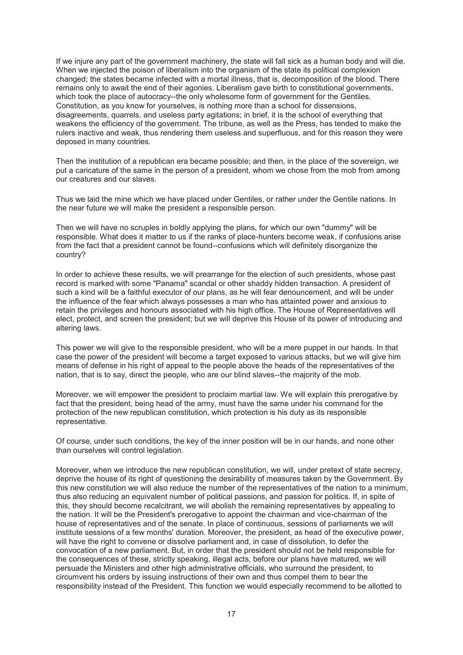If we injure any part of the government machinery, the state will fall sick as a human body and will die. When we injected the poison of liberalism into the organism of the state its political complexion changed; the states became infected with a mortal illness, that is, decomposition of the blood. There remains only to await the end of their agonies. Liberalism gave birth to constitutional governments, which took the place of autocracy--the only wholesome form of government for the Gentiles. Constitution, as you know for yourselves, is nothing more than a school for dissensions, disagreements, quarrels, and useless party agitations; in brief, it is the school of everything that weakens the efficiency of the government. The tribune, as well as the Press, has tended to make the rulers inactive and weak, thus rendering them useless and superfluous, and for this reason they were deposed in many countries.

Then the institution of a republican era became possible; and then, in the place of the sovereign, we put a caricature of the same in the person of a president, whom we chose from the mob from among our creatures and our slaves.

Thus we laid the mine which we have placed under Gentiles, or rather under the Gentile nations. In the near future we will make the president a responsible person.

Then we will have no scruples in boldly applying the plans, for which our own "dummy" will be responsible. What does it matter to us if the ranks of place-hunters become weak, if confusions arise from the fact that a president cannot be found--confusions which will definitely disorganize the country?

In order to achieve these results, we will prearrange for the election of such presidents, whose past record is marked with some "Panama" scandal or other shaddy hidden transaction. A president of such a kind will be a faithful executor of our plans, as he will fear denouncement, and will be under the influence of the fear which always possesses a man who has attainted power and anxious to retain the privileges and honours associated with his high office. The House of Representatives will elect, protect, and screen the president; but we will deprive this House of its power of introducing and altering laws.

This power we will give to the responsible president, who will be a mere puppet in our hands. In that case the power of the president will become a target exposed to various attacks, but we will give him means of defense in his right of appeal to the people above the heads of the representatives of the nation, that is to say, direct the people, who are our blind slaves--the majority of the mob.

Moreover, we will empower the president to proclaim martial law. We will explain this prerogative by fact that the president, being head of the army, must have the same under his command for the protection of the new republican constitution, which protection is his duty as its responsible representative.

Of course, under such conditions, the key of the inner position will be in our hands, and none other than ourselves will control legislation.

Moreover, when we introduce the new republican constitution, we will, under pretext of state secrecy, deprive the house of its right of questioning the desirability of measures taken by the Government. By this new constitution we will also reduce the number of the representatives of the nation to a minimum, thus also reducing an equivalent number of political passions, and passion for politics. If, in spite of this, they should become recalcitrant, we will abolish the remaining representatives by appealing to the nation. It will be the President's prerogative to appoint the chairman and vice-chairman of the house of representatives and of the senate. In place of continuous, sessions of parliaments we will institute sessions of a few months' duration. Moreover, the president, as head of the executive power, will have the right to convene or dissolve parliament and, in case of dissolution, to defer the convocation of a new parliament. But, in order that the president should not be held responsible for the consequences of these, strictly speaking, illegal acts, before our plans have matured, we will persuade the Ministers and other high administrative officials, who surround the president, to circumvent his orders by issuing instructions of their own and thus compel them to bear the responsibility instead of the President. This function we would especially recommend to be allotted to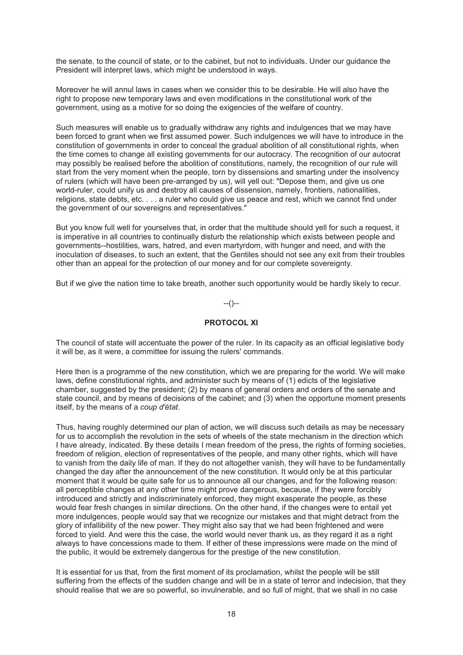the senate, to the council of state, or to the cabinet, but not to individuals. Under our guidance the President will interpret laws, which might be understood in ways.

Moreover he will annul laws in cases when we consider this to be desirable. He will also have the right to propose new temporary laws and even modifications in the constitutional work of the government, using as a motive for so doing the exigencies of the welfare of country.

Such measures will enable us to gradually withdraw any rights and indulgences that we may have been forced to grant when we first assumed power. Such indulgences we will have to introduce in the constitution of governments in order to conceal the gradual abolition of all constitutional rights, when the time comes to change all existing governments for our autocracy. The recognition of our autocrat may possibly be realised before the abolition of constitutions, namely, the recognition of our rule will start from the very moment when the people, torn by dissensions and smarting under the insolvency of rulers (which will have been pre-arranged by us), will yell out: "Depose them, and give us one world-ruler, could unify us and destroy all causes of dissension, namely, frontiers, nationalities, religions, state debts, etc. . . . a ruler who could give us peace and rest, which we cannot find under the government of our sovereigns and representatives."

But you know full well for yourselves that, in order that the multitude should yell for such a request, it is imperative in all countries to continually disturb the relationship which exists between people and governments--hostilities, wars, hatred, and even martyrdom, with hunger and need, and with the inoculation of diseases, to such an extent, that the Gentiles should not see any exit from their troubles other than an appeal for the protection of our money and for our complete sovereignty.

But if we give the nation time to take breath, another such opportunity would be hardly likely to recur.

## $-(-)$

## **PROTOCOL XI**

The council of state will accentuate the power of the ruler. In its capacity as an official legislative body it will be, as it were, a committee for issuing the rulers' commands.

Here then is a programme of the new constitution, which we are preparing for the world. We will make laws, define constitutional rights, and administer such by means of (1) edicts of the legislative chamber, suggested by the president; (2) by means of general orders and orders of the senate and state council, and by means of decisions of the cabinet; and (3) when the opportune moment presents itself, by the means of a *coup d'état*.

Thus, having roughly determined our plan of action, we will discuss such details as may be necessary for us to accomplish the revolution in the sets of wheels of the state mechanism in the direction which I have already, indicated. By these details I mean freedom of the press, the rights of forming societies, freedom of religion, election of representatives of the people, and many other rights, which will have to vanish from the daily life of man. If they do not altogether vanish, they will have to be fundamentally changed the day after the announcement of the new constitution. It would only be at this particular moment that it would be quite safe for us to announce all our changes, and for the following reason: all perceptible changes at any other time might prove dangerous, because, if they were forcibly introduced and strictly and indiscriminately enforced, they might exasperate the people, as these would fear fresh changes in similar directions. On the other hand, if the changes were to entail yet more indulgences, people would say that we recognize our mistakes and that might detract from the glory of infallibility of the new power. They might also say that we had been frightened and were forced to yield. And were this the case, the world would never thank us, as they regard it as a right always to have concessions made to them. If either of these impressions were made on the mind of the public, it would be extremely dangerous for the prestige of the new constitution.

It is essential for us that, from the first moment of its proclamation, whilst the people will be still suffering from the effects of the sudden change and will be in a state of terror and indecision, that they should realise that we are so powerful, so invulnerable, and so full of might, that we shall in no case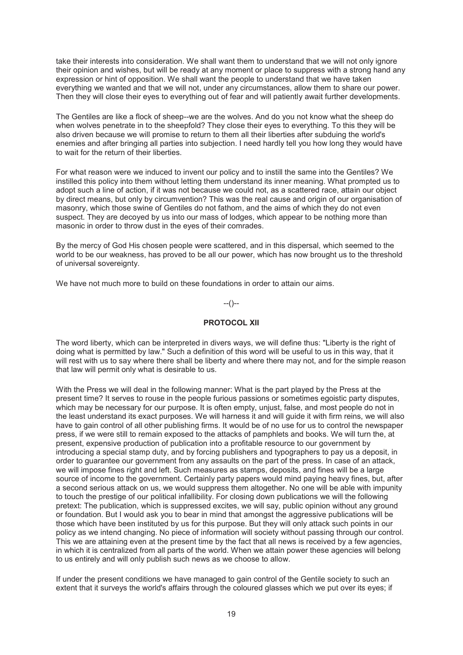take their interests into consideration. We shall want them to understand that we will not only ignore their opinion and wishes, but will be ready at any moment or place to suppress with a strong hand any expression or hint of opposition. We shall want the people to understand that we have taken everything we wanted and that we will not, under any circumstances, allow them to share our power. Then they will close their eyes to everything out of fear and will patiently await further developments.

The Gentiles are like a flock of sheep--we are the wolves. And do you not know what the sheep do when wolves penetrate in to the sheepfold? They close their eyes to everything. To this they will be also driven because we will promise to return to them all their liberties after subduing the world's enemies and after bringing all parties into subjection. I need hardly tell you how long they would have to wait for the return of their liberties.

For what reason were we induced to invent our policy and to instill the same into the Gentiles? We instilled this policy into them without letting them understand its inner meaning. What prompted us to adopt such a line of action, if it was not because we could not, as a scattered race, attain our object by direct means, but only by circumvention? This was the real cause and origin of our organisation of masonry, which those swine of Gentiles do not fathom, and the aims of which they do not even suspect. They are decoyed by us into our mass of lodges, which appear to be nothing more than masonic in order to throw dust in the eyes of their comrades.

By the mercy of God His chosen people were scattered, and in this dispersal, which seemed to the world to be our weakness, has proved to be all our power, which has now brought us to the threshold of universal sovereignty.

We have not much more to build on these foundations in order to attain our aims.

## $-(-)$

## **PROTOCOL XII**

The word liberty, which can be interpreted in divers ways, we will define thus: "Liberty is the right of doing what is permitted by law." Such a definition of this word will be useful to us in this way, that it will rest with us to say where there shall be liberty and where there may not, and for the simple reason that law will permit only what is desirable to us.

With the Press we will deal in the following manner: What is the part played by the Press at the present time? It serves to rouse in the people furious passions or sometimes egoistic party disputes, which may be necessary for our purpose. It is often empty, unjust, false, and most people do not in the least understand its exact purposes. We will harness it and will guide it with firm reins, we will also have to gain control of all other publishing firms. It would be of no use for us to control the newspaper press, if we were still to remain exposed to the attacks of pamphlets and books. We will turn the, at present, expensive production of publication into a profitable resource to our government by introducing a special stamp duty, and by forcing publishers and typographers to pay us a deposit, in order to guarantee our government from any assaults on the part of the press. In case of an attack, we will impose fines right and left. Such measures as stamps, deposits, and fines will be a large source of income to the government. Certainly party papers would mind paying heavy fines, but, after a second serious attack on us, we would suppress them altogether. No one will be able with impunity to touch the prestige of our political infallibility. For closing down publications we will the following pretext: The publication, which is suppressed excites, we will say, public opinion without any ground or foundation. But I would ask you to bear in mind that amongst the aggressive publications will be those which have been instituted by us for this purpose. But they will only attack such points in our policy as we intend changing. No piece of information will society without passing through our control. This we are attaining even at the present time by the fact that all news is received by a few agencies, in which it is centralized from all parts of the world. When we attain power these agencies will belong to us entirely and will only publish such news as we choose to allow.

If under the present conditions we have managed to gain control of the Gentile society to such an extent that it surveys the world's affairs through the coloured glasses which we put over its eyes; if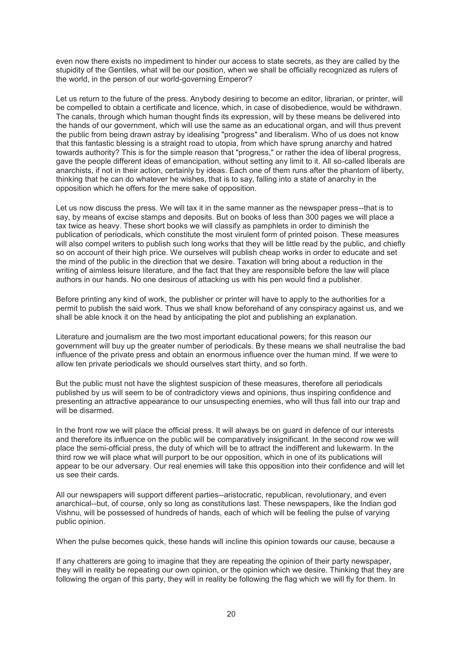even now there exists no impediment to hinder our access to state secrets, as they are called by the stupidity of the Gentiles, what will be our position, when we shall be officially recognized as rulers of the world, in the person of our world-governing Emperor?

Let us return to the future of the press. Anybody desiring to become an editor, librarian, or printer, will be compelled to obtain a certificate and licence, which, in case of disobedience, would be withdrawn. The canals, through which human thought finds its expression, will by these means be delivered into the hands of our government, which will use the same as an educational organ, and will thus prevent the public from being drawn astray by idealising "progress" and liberalism. Who of us does not know that this fantastic blessing is a straight road to utopia, from which have sprung anarchy and hatred towards authority? This is for the simple reason that "progress," or rather the idea of liberal progress, gave the people different ideas of emancipation, without setting any limit to it. All so-called liberals are anarchists, if not in their action, certainly by ideas. Each one of them runs after the phantom of liberty, thinking that he can do whatever he wishes, that is to say, falling into a state of anarchy in the opposition which he offers for the mere sake of opposition.

Let us now discuss the press. We will tax it in the same manner as the newspaper press--that is to say, by means of excise stamps and deposits. But on books of less than 300 pages we will place a tax twice as heavy. These short books we will classify as pamphlets in order to diminish the publication of periodicals, which constitute the most virulent form of printed poison. These measures will also compel writers to publish such long works that they will be little read by the public, and chiefly so on account of their high price. We ourselves will publish cheap works in order to educate and set the mind of the public in the direction that we desire. Taxation will bring about a reduction in the writing of aimless leisure literature, and the fact that they are responsible before the law will place authors in our hands. No one desirous of attacking us with his pen would find a publisher.

Before printing any kind of work, the publisher or printer will have to apply to the authorities for a permit to publish the said work. Thus we shall know beforehand of any conspiracy against us, and we shall be able knock it on the head by anticipating the plot and publishing an explanation.

Literature and journalism are the two most important educational powers; for this reason our government will buy up the greater number of periodicals. By these means we shall neutralise the bad influence of the private press and obtain an enormous influence over the human mind. If we were to allow ten private periodicals we should ourselves start thirty, and so forth.

But the public must not have the slightest suspicion of these measures, therefore all periodicals published by us will seem to be of contradictory views and opinions, thus inspiring confidence and presenting an attractive appearance to our unsuspecting enemies, who will thus fall into our trap and will be disarmed.

In the front row we will place the official press. It will always be on guard in defence of our interests and therefore its influence on the public will be comparatively insignificant. In the second row we will place the semi-official press, the duty of which will be to attract the indifferent and lukewarm. In the third row we will place what will purport to be our opposition, which in one of its publications will appear to be our adversary. Our real enemies will take this opposition into their confidence and will let us see their cards.

All our newspapers will support different parties--aristocratic, republican, revolutionary, and even anarchical--but, of course, only so long as constitutions last. These newspapers, like the Indian god Vishnu, will be possessed of hundreds of hands, each of which will be feeling the pulse of varying public opinion.

When the pulse becomes quick, these hands will incline this opinion towards our cause, because a

If any chatterers are going to imagine that they are repeating the opinion of their party newspaper, they will in reality be repeating our own opinion, or the opinion which we desire. Thinking that they are following the organ of this party, they will in reality be following the flag which we will fly for them. In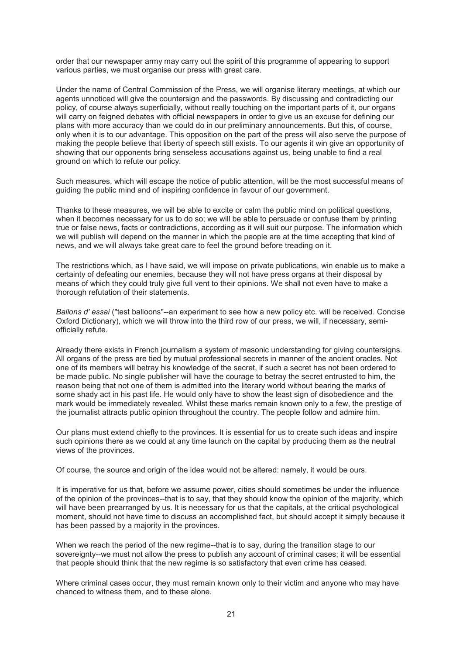order that our newspaper army may carry out the spirit of this programme of appearing to support various parties, we must organise our press with great care.

Under the name of Central Commission of the Press, we will organise literary meetings, at which our agents unnoticed will give the countersign and the passwords. By discussing and contradicting our policy, of course always superficially, without really touching on the important parts of it, our organs will carry on feigned debates with official newspapers in order to give us an excuse for defining our plans with more accuracy than we could do in our preliminary announcements. But this, of course, only when it is to our advantage. This opposition on the part of the press will also serve the purpose of making the people believe that liberty of speech still exists. To our agents it win give an opportunity of showing that our opponents bring senseless accusations against us, being unable to find a real ground on which to refute our policy.

Such measures, which will escape the notice of public attention, will be the most successful means of guiding the public mind and of inspiring confidence in favour of our government.

Thanks to these measures, we will be able to excite or calm the public mind on political questions, when it becomes necessary for us to do so; we will be able to persuade or confuse them by printing true or false news, facts or contradictions, according as it will suit our purpose. The information which we will publish will depend on the manner in which the people are at the time accepting that kind of news, and we will always take great care to feel the ground before treading on it.

The restrictions which, as I have said, we will impose on private publications, win enable us to make a certainty of defeating our enemies, because they will not have press organs at their disposal by means of which they could truly give full vent to their opinions. We shall not even have to make a thorough refutation of their statements.

*Ballons d' essai* ("test balloons"--an experiment to see how a new policy etc. will be received. Concise Oxford Dictionary), which we will throw into the third row of our press, we will, if necessary, semiofficially refute.

Already there exists in French journalism a system of masonic understanding for giving countersigns. All organs of the press are tied by mutual professional secrets in manner of the ancient oracles. Not one of its members will betray his knowledge of the secret, if such a secret has not been ordered to be made public. No single publisher will have the courage to betray the secret entrusted to him, the reason being that not one of them is admitted into the literary world without bearing the marks of some shady act in his past life. He would only have to show the least sign of disobedience and the mark would be immediately revealed. Whilst these marks remain known only to a few, the prestige of the journalist attracts public opinion throughout the country. The people follow and admire him.

Our plans must extend chiefly to the provinces. It is essential for us to create such ideas and inspire such opinions there as we could at any time launch on the capital by producing them as the neutral views of the provinces.

Of course, the source and origin of the idea would not be altered: namely, it would be ours.

It is imperative for us that, before we assume power, cities should sometimes be under the influence of the opinion of the provinces--that is to say, that they should know the opinion of the majority, which will have been prearranged by us. It is necessary for us that the capitals, at the critical psychological moment, should not have time to discuss an accomplished fact, but should accept it simply because it has been passed by a majority in the provinces.

When we reach the period of the new regime--that is to say, during the transition stage to our sovereignty--we must not allow the press to publish any account of criminal cases; it will be essential that people should think that the new regime is so satisfactory that even crime has ceased.

Where criminal cases occur, they must remain known only to their victim and anyone who may have chanced to witness them, and to these alone.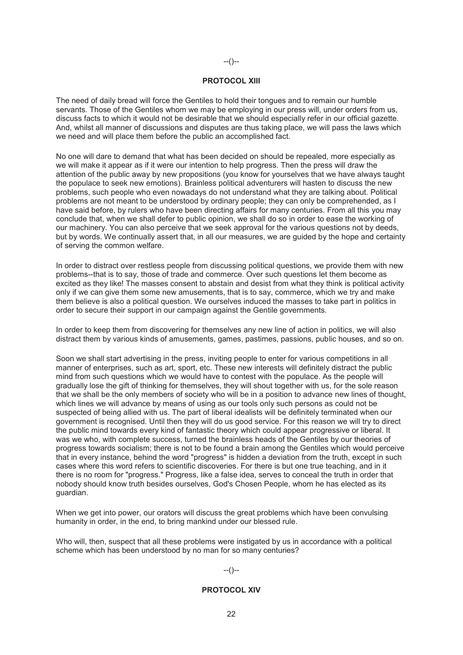## **PROTOCOL XIII**

--()--

The need of daily bread will force the Gentiles to hold their tongues and to remain our humble servants. Those of the Gentiles whom we may be employing in our press will, under orders from us, discuss facts to which it would not be desirable that we should especially refer in our official gazette. And, whilst all manner of discussions and disputes are thus taking place, we will pass the laws which we need and will place them before the public an accomplished fact.

No one will dare to demand that what has been decided on should be repealed, more especially as we will make it appear as if it were our intention to help progress. Then the press will draw the attention of the public away by new propositions (you know for yourselves that we have always taught the populace to seek new emotions). Brainless political adventurers will hasten to discuss the new problems, such people who even nowadays do not understand what they are talking about. Political problems are not meant to be understood by ordinary people; they can only be comprehended, as I have said before, by rulers who have been directing affairs for many centuries. From all this you may conclude that, when we shall defer to public opinion, we shall do so in order to ease the working of our machinery. You can also perceive that we seek approval for the various questions not by deeds, but by words. We continually assert that, in all our measures, we are guided by the hope and certainty of serving the common welfare.

In order to distract over restless people from discussing political questions, we provide them with new problems--that is to say, those of trade and commerce. Over such questions let them become as excited as they like! The masses consent to abstain and desist from what they think is political activity only if we can give them some new amusements, that is to say, commerce, which we try and make them believe is also a political question. We ourselves induced the masses to take part in politics in order to secure their support in our campaign against the Gentile governments.

In order to keep them from discovering for themselves any new line of action in politics, we will also distract them by various kinds of amusements, games, pastimes, passions, public houses, and so on.

Soon we shall start advertising in the press, inviting people to enter for various competitions in all manner of enterprises, such as art, sport, etc. These new interests will definitely distract the public mind from such questions which we would have to contest with the populace. As the people will gradually lose the gift of thinking for themselves, they will shout together with us, for the sole reason that we shall be the only members of society who will be in a position to advance new lines of thought, which lines we will advance by means of using as our tools only such persons as could not be suspected of being allied with us. The part of liberal idealists will be definitely terminated when our government is recognised. Until then they will do us good service. For this reason we will try to direct the public mind towards every kind of fantastic theory which could appear progressive or liberal. It was we who, with complete success, turned the brainless heads of the Gentiles by our theories of progress towards socialism; there is not to be found a brain among the Gentiles which would perceive that in every instance, behind the word "progress" is hidden a deviation from the truth, except in such cases where this word refers to scientific discoveries. For there is but one true teaching, and in it there is no room for "progress." Progress, like a false idea, serves to conceal the truth in order that nobody should know truth besides ourselves, God's Chosen People, whom he has elected as its guardian.

When we get into power, our orators will discuss the great problems which have been convulsing humanity in order, in the end, to bring mankind under our blessed rule.

Who will, then, suspect that all these problems were instigated by us in accordance with a political scheme which has been understood by no man for so many centuries?

## $-(-)$

#### **PROTOCOL XIV**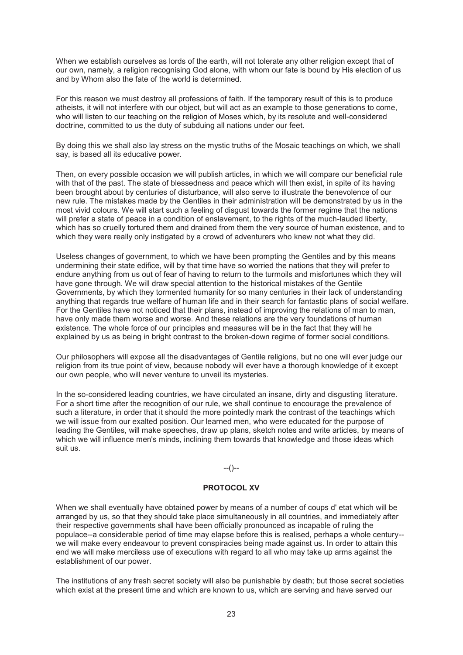When we establish ourselves as lords of the earth, will not tolerate any other religion except that of our own, namely, a religion recognising God alone, with whom our fate is bound by His election of us and by Whom also the fate of the world is determined.

For this reason we must destroy all professions of faith. If the temporary result of this is to produce atheists, it will not interfere with our object, but will act as an example to those generations to come, who will listen to our teaching on the religion of Moses which, by its resolute and well-considered doctrine, committed to us the duty of subduing all nations under our feet.

By doing this we shall also lay stress on the mystic truths of the Mosaic teachings on which, we shall say, is based all its educative power.

Then, on every possible occasion we will publish articles, in which we will compare our beneficial rule with that of the past. The state of blessedness and peace which will then exist, in spite of its having been brought about by centuries of disturbance, will also serve to illustrate the benevolence of our new rule. The mistakes made by the Gentiles in their administration will be demonstrated by us in the most vivid colours. We will start such a feeling of disgust towards the former regime that the nations will prefer a state of peace in a condition of enslavement, to the rights of the much-lauded liberty, which has so cruelly tortured them and drained from them the very source of human existence, and to which they were really only instigated by a crowd of adventurers who knew not what they did.

Useless changes of government, to which we have been prompting the Gentiles and by this means undermining their state edifice, will by that time have so worried the nations that they will prefer to endure anything from us out of fear of having to return to the turmoils and misfortunes which they will have gone through. We will draw special attention to the historical mistakes of the Gentile Governments, by which they tormented humanity for so many centuries in their lack of understanding anything that regards true welfare of human life and in their search for fantastic plans of social welfare. For the Gentiles have not noticed that their plans, instead of improving the relations of man to man, have only made them worse and worse. And these relations are the very foundations of human existence. The whole force of our principles and measures will be in the fact that they will he explained by us as being in bright contrast to the broken-down regime of former social conditions.

Our philosophers will expose all the disadvantages of Gentile religions, but no one will ever judge our religion from its true point of view, because nobody will ever have a thorough knowledge of it except our own people, who will never venture to unveil its mysteries.

In the so-considered leading countries, we have circulated an insane, dirty and disgusting literature. For a short time after the recognition of our rule, we shall continue to encourage the prevalence of such a literature, in order that it should the more pointedly mark the contrast of the teachings which we will issue from our exalted position. Our learned men, who were educated for the purpose of leading the Gentiles, will make speeches, draw up plans, sketch notes and write articles, by means of which we will influence men's minds, inclining them towards that knowledge and those ideas which suit us.

## $-(-)$

#### **PROTOCOL XV**

When we shall eventually have obtained power by means of a number of coups d' etat which will be arranged by us, so that they should take place simultaneously in all countries, and immediately after their respective governments shall have been officially pronounced as incapable of ruling the populace--a considerable period of time may elapse before this is realised, perhaps a whole century- we will make every endeavour to prevent conspiracies being made against us. In order to attain this end we will make merciless use of executions with regard to all who may take up arms against the establishment of our power.

The institutions of any fresh secret society will also be punishable by death; but those secret societies which exist at the present time and which are known to us, which are serving and have served our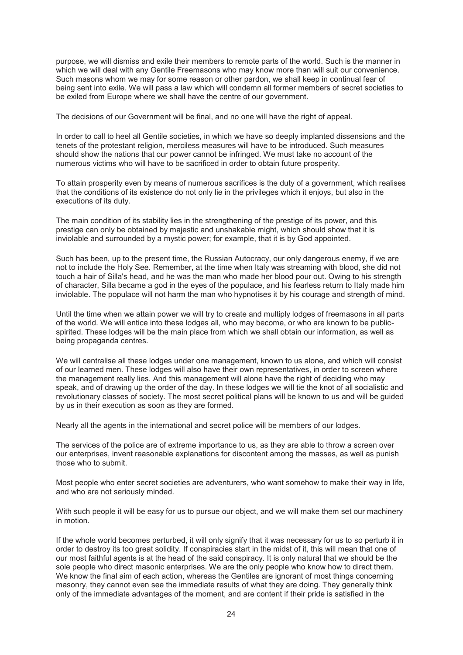purpose, we will dismiss and exile their members to remote parts of the world. Such is the manner in which we will deal with any Gentile Freemasons who may know more than will suit our convenience. Such masons whom we may for some reason or other pardon, we shall keep in continual fear of being sent into exile. We will pass a law which will condemn all former members of secret societies to be exiled from Europe where we shall have the centre of our government.

The decisions of our Government will be final, and no one will have the right of appeal.

In order to call to heel all Gentile societies, in which we have so deeply implanted dissensions and the tenets of the protestant religion, merciless measures will have to be introduced. Such measures should show the nations that our power cannot be infringed. We must take no account of the numerous victims who will have to be sacrificed in order to obtain future prosperity.

To attain prosperity even by means of numerous sacrifices is the duty of a government, which realises that the conditions of its existence do not only lie in the privileges which it enjoys, but also in the executions of its duty.

The main condition of its stability lies in the strengthening of the prestige of its power, and this prestige can only be obtained by majestic and unshakable might, which should show that it is inviolable and surrounded by a mystic power; for example, that it is by God appointed.

Such has been, up to the present time, the Russian Autocracy, our only dangerous enemy, if we are not to include the Holy See. Remember, at the time when Italy was streaming with blood, she did not touch a hair of Silla's head, and he was the man who made her blood pour out. Owing to his strength of character, Silla became a god in the eyes of the populace, and his fearless return to Italy made him inviolable. The populace will not harm the man who hypnotises it by his courage and strength of mind.

Until the time when we attain power we will try to create and multiply lodges of freemasons in all parts of the world. We will entice into these lodges all, who may become, or who are known to be publicspirited. These lodges will be the main place from which we shall obtain our information, as well as being propaganda centres.

We will centralise all these lodges under one management, known to us alone, and which will consist of our learned men. These lodges will also have their own representatives, in order to screen where the management really lies. And this management will alone have the right of deciding who may speak, and of drawing up the order of the day. In these lodges we will tie the knot of all socialistic and revolutionary classes of society. The most secret political plans will be known to us and will be guided by us in their execution as soon as they are formed.

Nearly all the agents in the international and secret police will be members of our lodges.

The services of the police are of extreme importance to us, as they are able to throw a screen over our enterprises, invent reasonable explanations for discontent among the masses, as well as punish those who to submit.

Most people who enter secret societies are adventurers, who want somehow to make their way in life, and who are not seriously minded.

With such people it will be easy for us to pursue our object, and we will make them set our machinery in motion.

If the whole world becomes perturbed, it will only signify that it was necessary for us to so perturb it in order to destroy its too great solidity. If conspiracies start in the midst of it, this will mean that one of our most faithful agents is at the head of the said conspiracy. It is only natural that we should be the sole people who direct masonic enterprises. We are the only people who know how to direct them. We know the final aim of each action, whereas the Gentiles are ignorant of most things concerning masonry, they cannot even see the immediate results of what they are doing. They generally think only of the immediate advantages of the moment, and are content if their pride is satisfied in the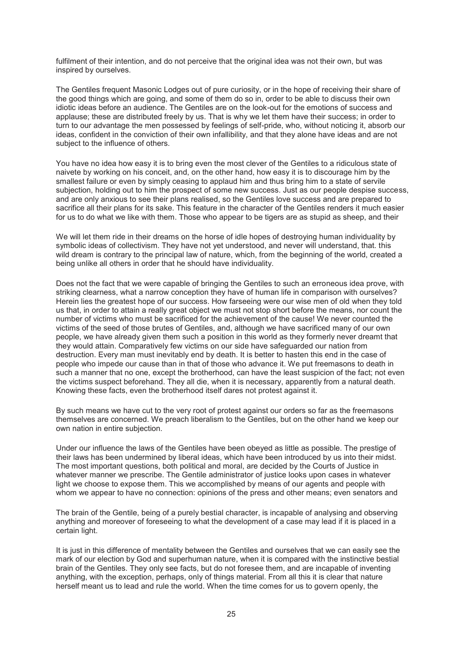fulfilment of their intention, and do not perceive that the original idea was not their own, but was inspired by ourselves.

The Gentiles frequent Masonic Lodges out of pure curiosity, or in the hope of receiving their share of the good things which are going, and some of them do so in, order to be able to discuss their own idiotic ideas before an audience. The Gentiles are on the look-out for the emotions of success and applause; these are distributed freely by us. That is why we let them have their success; in order to turn to our advantage the men possessed by feelings of self-pride, who, without noticing it, absorb our ideas, confident in the conviction of their own infallibility, and that they alone have ideas and are not subject to the influence of others.

You have no idea how easy it is to bring even the most clever of the Gentiles to a ridiculous state of naivete by working on his conceit, and, on the other hand, how easy it is to discourage him by the smallest failure or even by simply ceasing to applaud him and thus bring him to a state of servile subjection, holding out to him the prospect of some new success. Just as our people despise success, and are only anxious to see their plans realised, so the Gentiles love success and are prepared to sacrifice all their plans for its sake. This feature in the character of the Gentiles renders it much easier for us to do what we like with them. Those who appear to be tigers are as stupid as sheep, and their

We will let them ride in their dreams on the horse of idle hopes of destroying human individuality by symbolic ideas of collectivism. They have not yet understood, and never will understand, that. this wild dream is contrary to the principal law of nature, which, from the beginning of the world, created a being unlike all others in order that he should have individuality.

Does not the fact that we were capable of bringing the Gentiles to such an erroneous idea prove, with striking clearness, what a narrow conception they have of human life in comparison with ourselves? Herein lies the greatest hope of our success. How farseeing were our wise men of old when they told us that, in order to attain a really great object we must not stop short before the means, nor count the number of victims who must be sacrificed for the achievement of the cause! We never counted the victims of the seed of those brutes of Gentiles, and, although we have sacrificed many of our own people, we have already given them such a position in this world as they formerly never dreamt that they would attain. Comparatively few victims on our side have safeguarded our nation from destruction. Every man must inevitably end by death. It is better to hasten this end in the case of people who impede our cause than in that of those who advance it. We put freemasons to death in such a manner that no one, except the brotherhood, can have the least suspicion of the fact; not even the victims suspect beforehand. They all die, when it is necessary, apparently from a natural death. Knowing these facts, even the brotherhood itself dares not protest against it.

By such means we have cut to the very root of protest against our orders so far as the freemasons themselves are concerned. We preach liberalism to the Gentiles, but on the other hand we keep our own nation in entire subjection.

Under our influence the laws of the Gentiles have been obeyed as little as possible. The prestige of their laws has been undermined by liberal ideas, which have been introduced by us into their midst. The most important questions, both political and moral, are decided by the Courts of Justice in whatever manner we prescribe. The Gentile administrator of justice looks upon cases in whatever light we choose to expose them. This we accomplished by means of our agents and people with whom we appear to have no connection: opinions of the press and other means; even senators and

The brain of the Gentile, being of a purely bestial character, is incapable of analysing and observing anything and moreover of foreseeing to what the development of a case may lead if it is placed in a certain light.

It is just in this difference of mentality between the Gentiles and ourselves that we can easily see the mark of our election by God and superhuman nature, when it is compared with the instinctive bestial brain of the Gentiles. They only see facts, but do not foresee them, and are incapable of inventing anything, with the exception, perhaps, only of things material. From all this it is clear that nature herself meant us to lead and rule the world. When the time comes for us to govern openly, the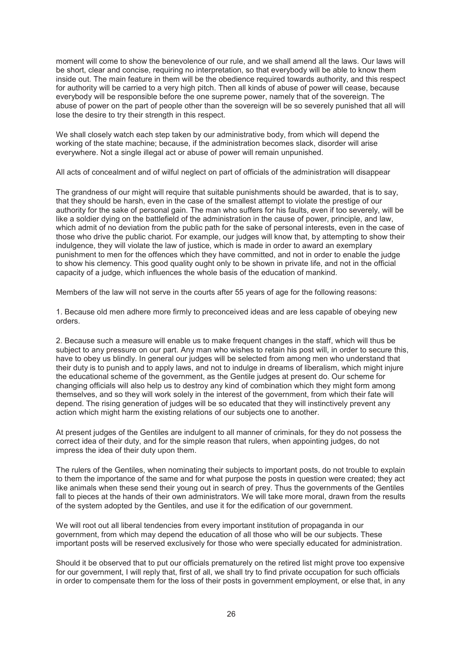moment will come to show the benevolence of our rule, and we shall amend all the laws. Our laws will be short, clear and concise, requiring no interpretation, so that everybody will be able to know them inside out. The main feature in them will be the obedience required towards authority, and this respect for authority will be carried to a very high pitch. Then all kinds of abuse of power will cease, because everybody will be responsible before the one supreme power, namely that of the sovereign. The abuse of power on the part of people other than the sovereign will be so severely punished that all will lose the desire to try their strength in this respect.

We shall closely watch each step taken by our administrative body, from which will depend the working of the state machine; because, if the administration becomes slack, disorder will arise everywhere. Not a single illegal act or abuse of power will remain unpunished.

All acts of concealment and of wilful neglect on part of officials of the administration will disappear

The grandness of our might will require that suitable punishments should be awarded, that is to say, that they should be harsh, even in the case of the smallest attempt to violate the prestige of our authority for the sake of personal gain. The man who suffers for his faults, even if too severely, will be like a soldier dying on the battlefield of the administration in the cause of power, principle, and law, which admit of no deviation from the public path for the sake of personal interests, even in the case of those who drive the public chariot. For example, our judges will know that, by attempting to show their indulgence, they will violate the law of justice, which is made in order to award an exemplary punishment to men for the offences which they have committed, and not in order to enable the judge to show his clemency. This good quality ought only to be shown in private life, and not in the official capacity of a judge, which influences the whole basis of the education of mankind.

Members of the law will not serve in the courts after 55 years of age for the following reasons:

1. Because old men adhere more firmly to preconceived ideas and are less capable of obeying new orders.

2. Because such a measure will enable us to make frequent changes in the staff, which will thus be subject to any pressure on our part. Any man who wishes to retain his post will, in order to secure this, have to obey us blindly. In general our judges will be selected from among men who understand that their duty is to punish and to apply laws, and not to indulge in dreams of liberalism, which might injure the educational scheme of the government, as the Gentile judges at present do. Our scheme for changing officials will also help us to destroy any kind of combination which they might form among themselves, and so they will work solely in the interest of the government, from which their fate will depend. The rising generation of judges will be so educated that they will instinctively prevent any action which might harm the existing relations of our subjects one to another.

At present judges of the Gentiles are indulgent to all manner of criminals, for they do not possess the correct idea of their duty, and for the simple reason that rulers, when appointing judges, do not impress the idea of their duty upon them.

The rulers of the Gentiles, when nominating their subjects to important posts, do not trouble to explain to them the importance of the same and for what purpose the posts in question were created; they act like animals when these send their young out in search of prey. Thus the governments of the Gentiles fall to pieces at the hands of their own administrators. We will take more moral, drawn from the results of the system adopted by the Gentiles, and use it for the edification of our government.

We will root out all liberal tendencies from every important institution of propaganda in our government, from which may depend the education of all those who will be our subjects. These important posts will be reserved exclusively for those who were specially educated for administration.

Should it be observed that to put our officials prematurely on the retired list might prove too expensive for our government, I will reply that, first of all, we shall try to find private occupation for such officials in order to compensate them for the loss of their posts in government employment, or else that, in any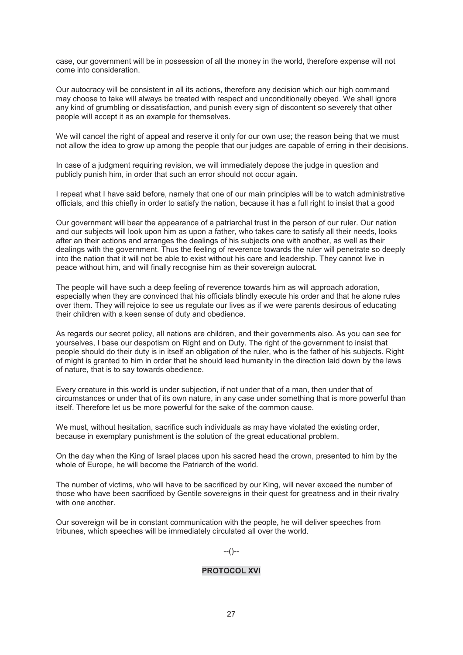case, our government will be in possession of all the money in the world, therefore expense will not come into consideration.

Our autocracy will be consistent in all its actions, therefore any decision which our high command may choose to take will always be treated with respect and unconditionally obeyed. We shall ignore any kind of grumbling or dissatisfaction, and punish every sign of discontent so severely that other people will accept it as an example for themselves.

We will cancel the right of appeal and reserve it only for our own use; the reason being that we must not allow the idea to grow up among the people that our judges are capable of erring in their decisions.

In case of a judgment requiring revision, we will immediately depose the judge in question and publicly punish him, in order that such an error should not occur again.

I repeat what I have said before, namely that one of our main principles will be to watch administrative officials, and this chiefly in order to satisfy the nation, because it has a full right to insist that a good

Our government will bear the appearance of a patriarchal trust in the person of our ruler. Our nation and our subjects will look upon him as upon a father, who takes care to satisfy all their needs, looks after an their actions and arranges the dealings of his subjects one with another, as well as their dealings with the government. Thus the feeling of reverence towards the ruler will penetrate so deeply into the nation that it will not be able to exist without his care and leadership. They cannot live in peace without him, and will finally recognise him as their sovereign autocrat.

The people will have such a deep feeling of reverence towards him as will approach adoration, especially when they are convinced that his officials blindly execute his order and that he alone rules over them. They will rejoice to see us regulate our lives as if we were parents desirous of educating their children with a keen sense of duty and obedience.

As regards our secret policy, all nations are children, and their governments also. As you can see for yourselves, I base our despotism on Right and on Duty. The right of the government to insist that people should do their duty is in itself an obligation of the ruler, who is the father of his subjects. Right of might is granted to him in order that he should lead humanity in the direction laid down by the laws of nature, that is to say towards obedience.

Every creature in this world is under subjection, if not under that of a man, then under that of circumstances or under that of its own nature, in any case under something that is more powerful than itself. Therefore let us be more powerful for the sake of the common cause.

We must, without hesitation, sacrifice such individuals as may have violated the existing order, because in exemplary punishment is the solution of the great educational problem.

On the day when the King of Israel places upon his sacred head the crown, presented to him by the whole of Europe, he will become the Patriarch of the world.

The number of victims, who will have to be sacrificed by our King, will never exceed the number of those who have been sacrificed by Gentile sovereigns in their quest for greatness and in their rivalry with one another.

Our sovereign will be in constant communication with the people, he will deliver speeches from tribunes, which speeches will be immediately circulated all over the world.

## $-(-)$

#### **PROTOCOL XVI**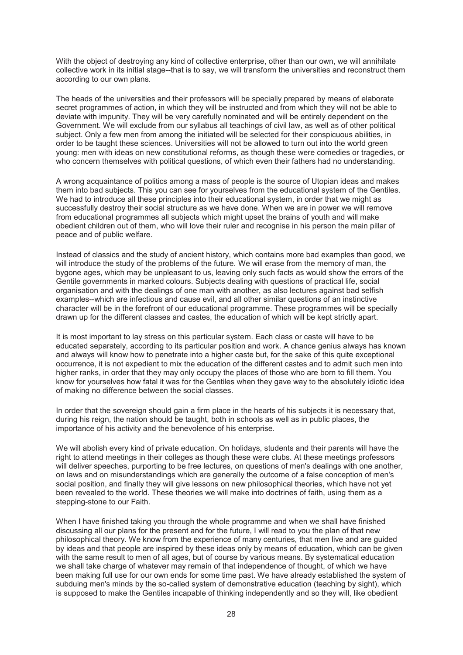With the object of destroying any kind of collective enterprise, other than our own, we will annihilate collective work in its initial stage--that is to say, we will transform the universities and reconstruct them according to our own plans.

The heads of the universities and their professors will be specially prepared by means of elaborate secret programmes of action, in which they will be instructed and from which they will not be able to deviate with impunity. They will be very carefully nominated and will be entirely dependent on the Government. We will exclude from our syllabus all teachings of civil law, as well as of other political subject. Only a few men from among the initiated will be selected for their conspicuous abilities, in order to be taught these sciences. Universities will not be allowed to turn out into the world green young: men with ideas on new constitutional reforms, as though these were comedies or tragedies, or who concern themselves with political questions, of which even their fathers had no understanding.

A wrong acquaintance of politics among a mass of people is the source of Utopian ideas and makes them into bad subjects. This you can see for yourselves from the educational system of the Gentiles. We had to introduce all these principles into their educational system, in order that we might as successfully destroy their social structure as we have done. When we are in power we will remove from educational programmes all subjects which might upset the brains of youth and will make obedient children out of them, who will love their ruler and recognise in his person the main pillar of peace and of public welfare.

Instead of classics and the study of ancient history, which contains more bad examples than good, we will introduce the study of the problems of the future. We will erase from the memory of man, the bygone ages, which may be unpleasant to us, leaving only such facts as would show the errors of the Gentile governments in marked colours. Subjects dealing with questions of practical life, social organisation and with the dealings of one man with another, as also lectures against bad selfish examples--which are infectious and cause evil, and all other similar questions of an instinctive character will be in the forefront of our educational programme. These programmes will be specially drawn up for the different classes and castes, the education of which will be kept strictly apart.

It is most important to lay stress on this particular system. Each class or caste will have to be educated separately, according to its particular position and work. A chance genius always has known and always will know how to penetrate into a higher caste but, for the sake of this quite exceptional occurrence, it is not expedient to mix the education of the different castes and to admit such men into higher ranks, in order that they may only occupy the places of those who are born to fill them. You know for yourselves how fatal it was for the Gentiles when they gave way to the absolutely idiotic idea of making no difference between the social classes.

In order that the sovereign should gain a firm place in the hearts of his subjects it is necessary that, during his reign, the nation should be taught, both in schools as well as in public places, the importance of his activity and the benevolence of his enterprise.

We will abolish every kind of private education. On holidays, students and their parents will have the right to attend meetings in their colleges as though these were clubs. At these meetings professors will deliver speeches, purporting to be free lectures, on questions of men's dealings with one another, on laws and on misunderstandings which are generally the outcome of a false conception of men's social position, and finally they will give lessons on new philosophical theories, which have not yet been revealed to the world. These theories we will make into doctrines of faith, using them as a stepping-stone to our Faith.

When I have finished taking you through the whole programme and when we shall have finished discussing all our plans for the present and for the future, I will read to you the plan of that new philosophical theory. We know from the experience of many centuries, that men live and are guided by ideas and that people are inspired by these ideas only by means of education, which can be given with the same result to men of all ages, but of course by various means. By systematical education we shall take charge of whatever may remain of that independence of thought, of which we have been making full use for our own ends for some time past. We have already established the system of subduing men's minds by the so-called system of demonstrative education (teaching by sight), which is supposed to make the Gentiles incapable of thinking independently and so they will, like obedient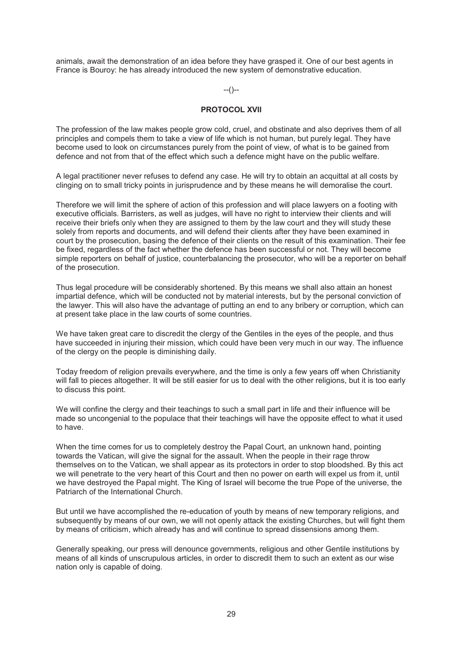animals, await the demonstration of an idea before they have grasped it. One of our best agents in France is Bouroy: he has already introduced the new system of demonstrative education.

--()--

## **PROTOCOL XVII**

The profession of the law makes people grow cold, cruel, and obstinate and also deprives them of all principles and compels them to take a view of life which is not human, but purely legal. They have become used to look on circumstances purely from the point of view, of what is to be gained from defence and not from that of the effect which such a defence might have on the public welfare.

A legal practitioner never refuses to defend any case. He will try to obtain an acquittal at all costs by clinging on to small tricky points in jurisprudence and by these means he will demoralise the court.

Therefore we will limit the sphere of action of this profession and will place lawyers on a footing with executive officials. Barristers, as well as judges, will have no right to interview their clients and will receive their briefs only when they are assigned to them by the law court and they will study these solely from reports and documents, and will defend their clients after they have been examined in court by the prosecution, basing the defence of their clients on the result of this examination. Their fee be fixed, regardless of the fact whether the defence has been successful or not. They will become simple reporters on behalf of justice, counterbalancing the prosecutor, who will be a reporter on behalf of the prosecution.

Thus legal procedure will be considerably shortened. By this means we shall also attain an honest impartial defence, which will be conducted not by material interests, but by the personal conviction of the lawyer. This will also have the advantage of putting an end to any bribery or corruption, which can at present take place in the law courts of some countries.

We have taken great care to discredit the clergy of the Gentiles in the eyes of the people, and thus have succeeded in injuring their mission, which could have been very much in our way. The influence of the clergy on the people is diminishing daily.

Today freedom of religion prevails everywhere, and the time is only a few years off when Christianity will fall to pieces altogether. It will be still easier for us to deal with the other religions, but it is too early to discuss this point.

We will confine the clergy and their teachings to such a small part in life and their influence will be made so uncongenial to the populace that their teachings will have the opposite effect to what it used to have.

When the time comes for us to completely destroy the Papal Court, an unknown hand, pointing towards the Vatican, will give the signal for the assault. When the people in their rage throw themselves on to the Vatican, we shall appear as its protectors in order to stop bloodshed. By this act we will penetrate to the very heart of this Court and then no power on earth will expel us from it, until we have destroyed the Papal might. The King of Israel will become the true Pope of the universe, the Patriarch of the International Church.

But until we have accomplished the re-education of youth by means of new temporary religions, and subsequently by means of our own, we will not openly attack the existing Churches, but will fight them by means of criticism, which already has and will continue to spread dissensions among them.

Generally speaking, our press will denounce governments, religious and other Gentile institutions by means of all kinds of unscrupulous articles, in order to discredit them to such an extent as our wise nation only is capable of doing.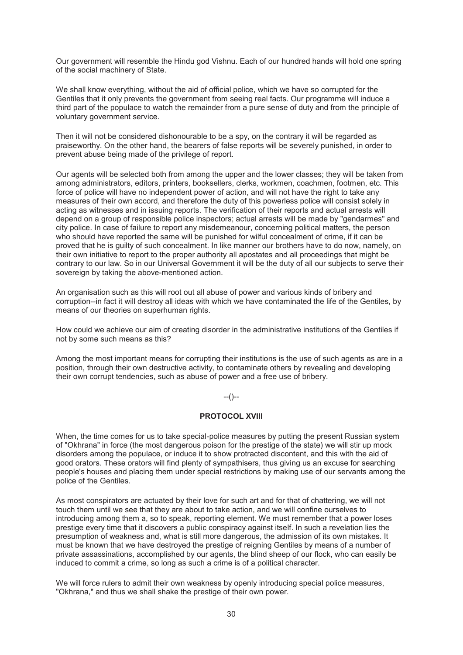Our government will resemble the Hindu god Vishnu. Each of our hundred hands will hold one spring of the social machinery of State.

We shall know everything, without the aid of official police, which we have so corrupted for the Gentiles that it only prevents the government from seeing real facts. Our programme will induce a third part of the populace to watch the remainder from a pure sense of duty and from the principle of voluntary government service.

Then it will not be considered dishonourable to be a spy, on the contrary it will be regarded as praiseworthy. On the other hand, the bearers of false reports will be severely punished, in order to prevent abuse being made of the privilege of report.

Our agents will be selected both from among the upper and the lower classes; they will be taken from among administrators, editors, printers, booksellers, clerks, workmen, coachmen, footmen, etc. This force of police will have no independent power of action, and will not have the right to take any measures of their own accord, and therefore the duty of this powerless police will consist solely in acting as witnesses and in issuing reports. The verification of their reports and actual arrests will depend on a group of responsible police inspectors; actual arrests will be made by "gendarmes" and city police. In case of failure to report any misdemeanour, concerning political matters, the person who should have reported the same will be punished for wilful concealment of crime, if it can be proved that he is guilty of such concealment. In like manner our brothers have to do now, namely, on their own initiative to report to the proper authority all apostates and all proceedings that might be contrary to our law. So in our Universal Government it will be the duty of all our subjects to serve their sovereign by taking the above-mentioned action.

An organisation such as this will root out all abuse of power and various kinds of bribery and corruption--in fact it will destroy all ideas with which we have contaminated the life of the Gentiles, by means of our theories on superhuman rights.

How could we achieve our aim of creating disorder in the administrative institutions of the Gentiles if not by some such means as this?

Among the most important means for corrupting their institutions is the use of such agents as are in a position, through their own destructive activity, to contaminate others by revealing and developing their own corrupt tendencies, such as abuse of power and a free use of bribery.

 $-(-)$ 

#### **PROTOCOL XVIII**

When, the time comes for us to take special-police measures by putting the present Russian system of "Okhrana" in force (the most dangerous poison for the prestige of the state) we will stir up mock disorders among the populace, or induce it to show protracted discontent, and this with the aid of good orators. These orators will find plenty of sympathisers, thus giving us an excuse for searching people's houses and placing them under special restrictions by making use of our servants among the police of the Gentiles.

As most conspirators are actuated by their love for such art and for that of chattering, we will not touch them until we see that they are about to take action, and we will confine ourselves to introducing among them a, so to speak, reporting element. We must remember that a power loses prestige every time that it discovers a public conspiracy against itself. In such a revelation lies the presumption of weakness and, what is still more dangerous, the admission of its own mistakes. It must be known that we have destroyed the prestige of reigning Gentiles by means of a number of private assassinations, accomplished by our agents, the blind sheep of our flock, who can easily be induced to commit a crime, so long as such a crime is of a political character.

We will force rulers to admit their own weakness by openly introducing special police measures, "Okhrana," and thus we shall shake the prestige of their own power.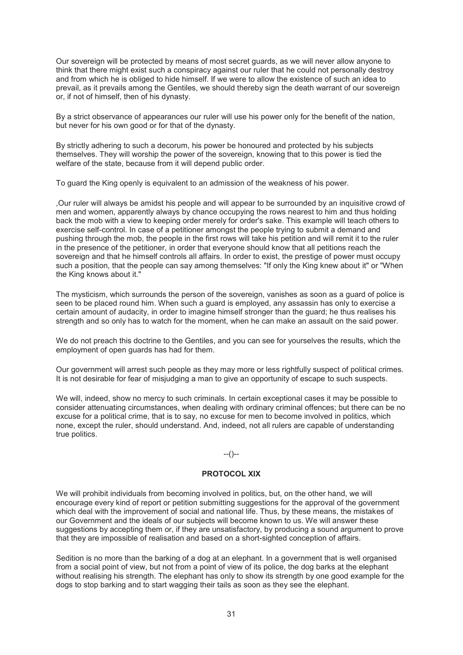Our sovereign will be protected by means of most secret guards, as we will never allow anyone to think that there might exist such a conspiracy against our ruler that he could not personally destroy and from which he is obliged to hide himself. If we were to allow the existence of such an idea to prevail, as it prevails among the Gentiles, we should thereby sign the death warrant of our sovereign or, if not of himself, then of his dynasty.

By a strict observance of appearances our ruler will use his power only for the benefit of the nation, but never for his own good or for that of the dynasty.

By strictly adhering to such a decorum, his power be honoured and protected by his subjects themselves. They will worship the power of the sovereign, knowing that to this power is tied the welfare of the state, because from it will depend public order.

To guard the King openly is equivalent to an admission of the weakness of his power.

,Our ruler will always be amidst his people and will appear to be surrounded by an inquisitive crowd of men and women, apparently always by chance occupying the rows nearest to him and thus holding back the mob with a view to keeping order merely for order's sake. This example will teach others to exercise self-control. In case of a petitioner amongst the people trying to submit a demand and pushing through the mob, the people in the first rows will take his petition and will remit it to the ruler in the presence of the petitioner, in order that everyone should know that all petitions reach the sovereign and that he himself controls all affairs. In order to exist, the prestige of power must occupy such a position, that the people can say among themselves: "If only the King knew about it" or "When the King knows about it."

The mysticism, which surrounds the person of the sovereign, vanishes as soon as a guard of police is seen to be placed round him. When such a guard is employed, any assassin has only to exercise a certain amount of audacity, in order to imagine himself stronger than the guard; he thus realises his strength and so only has to watch for the moment, when he can make an assault on the said power.

We do not preach this doctrine to the Gentiles, and you can see for yourselves the results, which the employment of open guards has had for them.

Our government will arrest such people as they may more or less rightfully suspect of political crimes. It is not desirable for fear of misjudging a man to give an opportunity of escape to such suspects.

We will, indeed, show no mercy to such criminals. In certain exceptional cases it may be possible to consider attenuating circumstances, when dealing with ordinary criminal offences; but there can be no excuse for a political crime, that is to say, no excuse for men to become involved in politics, which none, except the ruler, should understand. And, indeed, not all rulers are capable of understanding true politics.

## --()--

## **PROTOCOL XIX**

We will prohibit individuals from becoming involved in politics, but, on the other hand, we will encourage every kind of report or petition submitting suggestions for the approval of the government which deal with the improvement of social and national life. Thus, by these means, the mistakes of our Government and the ideals of our subjects will become known to us. We will answer these suggestions by accepting them or, if they are unsatisfactory, by producing a sound argument to prove that they are impossible of realisation and based on a short-sighted conception of affairs.

Sedition is no more than the barking of a dog at an elephant. In a government that is well organised from a social point of view, but not from a point of view of its police, the dog barks at the elephant without realising his strength. The elephant has only to show its strength by one good example for the dogs to stop barking and to start wagging their tails as soon as they see the elephant.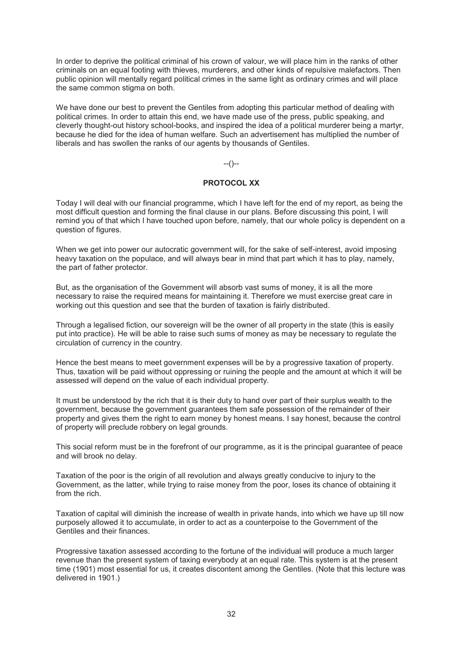In order to deprive the political criminal of his crown of valour, we will place him in the ranks of other criminals on an equal footing with thieves, murderers, and other kinds of repulsive malefactors. Then public opinion will mentally regard political crimes in the same light as ordinary crimes and will place the same common stigma on both.

We have done our best to prevent the Gentiles from adopting this particular method of dealing with political crimes. In order to attain this end, we have made use of the press, public speaking, and cleverly thought-out history school-books, and inspired the idea of a political murderer being a martyr, because he died for the idea of human welfare. Such an advertisement has multiplied the number of liberals and has swollen the ranks of our agents by thousands of Gentiles.

#### --()--

## **PROTOCOL XX**

Today I will deal with our financial programme, which I have left for the end of my report, as being the most difficult question and forming the final clause in our plans. Before discussing this point, I will remind you of that which I have touched upon before, namely, that our whole policy is dependent on a question of figures.

When we get into power our autocratic government will, for the sake of self-interest, avoid imposing heavy taxation on the populace, and will always bear in mind that part which it has to play, namely, the part of father protector.

But, as the organisation of the Government will absorb vast sums of money, it is all the more necessary to raise the required means for maintaining it. Therefore we must exercise great care in working out this question and see that the burden of taxation is fairly distributed.

Through a legalised fiction, our sovereign will be the owner of all property in the state (this is easily put into practice). He will be able to raise such sums of money as may be necessary to regulate the circulation of currency in the country.

Hence the best means to meet government expenses will be by a progressive taxation of property. Thus, taxation will be paid without oppressing or ruining the people and the amount at which it will be assessed will depend on the value of each individual property.

It must be understood by the rich that it is their duty to hand over part of their surplus wealth to the government, because the government guarantees them safe possession of the remainder of their property and gives them the right to earn money by honest means. I say honest, because the control of property will preclude robbery on legal grounds.

This social reform must be in the forefront of our programme, as it is the principal guarantee of peace and will brook no delay.

Taxation of the poor is the origin of all revolution and always greatly conducive to injury to the Government, as the latter, while trying to raise money from the poor, loses its chance of obtaining it from the rich.

Taxation of capital will diminish the increase of wealth in private hands, into which we have up till now purposely allowed it to accumulate, in order to act as a counterpoise to the Government of the Gentiles and their finances.

Progressive taxation assessed according to the fortune of the individual will produce a much larger revenue than the present system of taxing everybody at an equal rate. This system is at the present time (1901) most essential for us, it creates discontent among the Gentiles. (Note that this lecture was delivered in 1901.)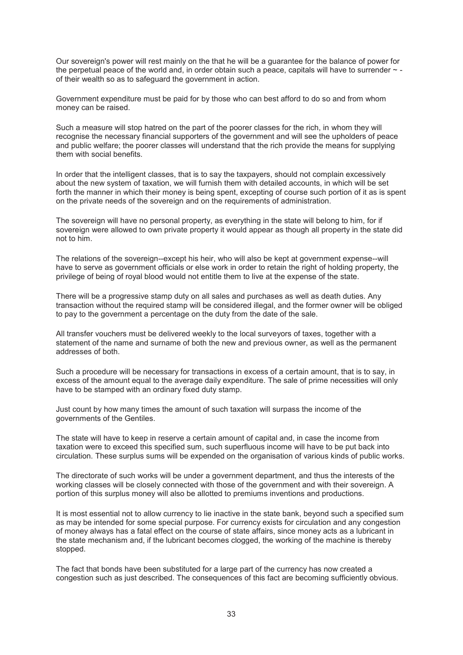Our sovereign's power will rest mainly on the that he will be a guarantee for the balance of power for the perpetual peace of the world and, in order obtain such a peace, capitals will have to surrender  $\sim$  of their wealth so as to safeguard the government in action.

Government expenditure must be paid for by those who can best afford to do so and from whom money can be raised.

Such a measure will stop hatred on the part of the poorer classes for the rich, in whom they will recognise the necessary financial supporters of the government and will see the upholders of peace and public welfare; the poorer classes will understand that the rich provide the means for supplying them with social benefits.

In order that the intelligent classes, that is to say the taxpayers, should not complain excessively about the new system of taxation, we will furnish them with detailed accounts, in which will be set forth the manner in which their money is being spent, excepting of course such portion of it as is spent on the private needs of the sovereign and on the requirements of administration.

The sovereign will have no personal property, as everything in the state will belong to him, for if sovereign were allowed to own private property it would appear as though all property in the state did not to him.

The relations of the sovereign--except his heir, who will also be kept at government expense--will have to serve as government officials or else work in order to retain the right of holding property, the privilege of being of royal blood would not entitle them to live at the expense of the state.

There will be a progressive stamp duty on all sales and purchases as well as death duties. Any transaction without the required stamp will be considered illegal, and the former owner will be obliged to pay to the government a percentage on the duty from the date of the sale.

All transfer vouchers must be delivered weekly to the local surveyors of taxes, together with a statement of the name and surname of both the new and previous owner, as well as the permanent addresses of both.

Such a procedure will be necessary for transactions in excess of a certain amount, that is to say, in excess of the amount equal to the average daily expenditure. The sale of prime necessities will only have to be stamped with an ordinary fixed duty stamp.

Just count by how many times the amount of such taxation will surpass the income of the governments of the Gentiles.

The state will have to keep in reserve a certain amount of capital and, in case the income from taxation were to exceed this specified sum, such superfluous income will have to be put back into circulation. These surplus sums will be expended on the organisation of various kinds of public works.

The directorate of such works will be under a government department, and thus the interests of the working classes will be closely connected with those of the government and with their sovereign. A portion of this surplus money will also be allotted to premiums inventions and productions.

It is most essential not to allow currency to lie inactive in the state bank, beyond such a specified sum as may be intended for some special purpose. For currency exists for circulation and any congestion of money always has a fatal effect on the course of state affairs, since money acts as a lubricant in the state mechanism and, if the lubricant becomes clogged, the working of the machine is thereby stopped.

The fact that bonds have been substituted for a large part of the currency has now created a congestion such as just described. The consequences of this fact are becoming sufficiently obvious.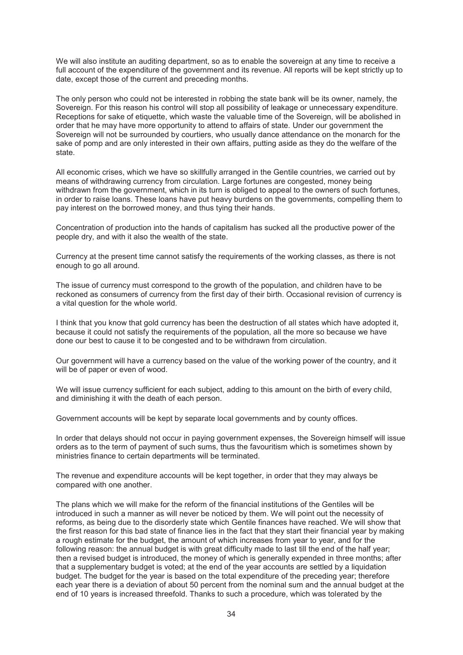We will also institute an auditing department, so as to enable the sovereign at any time to receive a full account of the expenditure of the government and its revenue. All reports will be kept strictly up to date, except those of the current and preceding months.

The only person who could not be interested in robbing the state bank will be its owner, namely, the Sovereign. For this reason his control will stop all possibility of leakage or unnecessary expenditure. Receptions for sake of etiquette, which waste the valuable time of the Sovereign, will be abolished in order that he may have more opportunity to attend to affairs of state. Under our government the Sovereign will not be surrounded by courtiers, who usually dance attendance on the monarch for the sake of pomp and are only interested in their own affairs, putting aside as they do the welfare of the state.

All economic crises, which we have so skillfully arranged in the Gentile countries, we carried out by means of withdrawing currency from circulation. Large fortunes are congested, money being withdrawn from the government, which in its turn is obliged to appeal to the owners of such fortunes, in order to raise loans. These loans have put heavy burdens on the governments, compelling them to pay interest on the borrowed money, and thus tying their hands.

Concentration of production into the hands of capitalism has sucked all the productive power of the people dry, and with it also the wealth of the state.

Currency at the present time cannot satisfy the requirements of the working classes, as there is not enough to go all around.

The issue of currency must correspond to the growth of the population, and children have to be reckoned as consumers of currency from the first day of their birth. Occasional revision of currency is a vital question for the whole world.

I think that you know that gold currency has been the destruction of all states which have adopted it, because it could not satisfy the requirements of the population, all the more so because we have done our best to cause it to be congested and to be withdrawn from circulation.

Our government will have a currency based on the value of the working power of the country, and it will be of paper or even of wood.

We will issue currency sufficient for each subject, adding to this amount on the birth of every child, and diminishing it with the death of each person.

Government accounts will be kept by separate local governments and by county offices.

In order that delays should not occur in paying government expenses, the Sovereign himself will issue orders as to the term of payment of such sums, thus the favouritism which is sometimes shown by ministries finance to certain departments will be terminated.

The revenue and expenditure accounts will be kept together, in order that they may always be compared with one another.

The plans which we will make for the reform of the financial institutions of the Gentiles will be introduced in such a manner as will never be noticed by them. We will point out the necessity of reforms, as being due to the disorderly state which Gentile finances have reached. We will show that the first reason for this bad state of finance lies in the fact that they start their financial year by making a rough estimate for the budget, the amount of which increases from year to year, and for the following reason: the annual budget is with great difficulty made to last till the end of the half year; then a revised budget is introduced, the money of which is generally expended in three months; after that a supplementary budget is voted; at the end of the year accounts are settled by a liquidation budget. The budget for the year is based on the total expenditure of the preceding year; therefore each year there is a deviation of about 50 percent from the nominal sum and the annual budget at the end of 10 years is increased threefold. Thanks to such a procedure, which was tolerated by the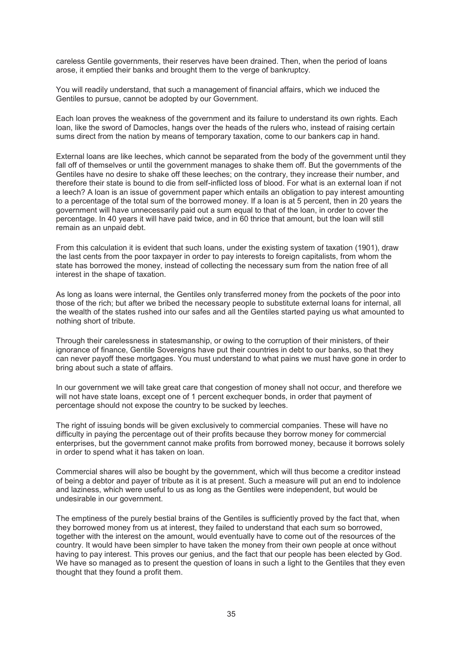careless Gentile governments, their reserves have been drained. Then, when the period of loans arose, it emptied their banks and brought them to the verge of bankruptcy.

You will readily understand, that such a management of financial affairs, which we induced the Gentiles to pursue, cannot be adopted by our Government.

Each loan proves the weakness of the government and its failure to understand its own rights. Each loan, like the sword of Damocles, hangs over the heads of the rulers who, instead of raising certain sums direct from the nation by means of temporary taxation, come to our bankers cap in hand.

External loans are like leeches, which cannot be separated from the body of the government until they fall off of themselves or until the government manages to shake them off. But the governments of the Gentiles have no desire to shake off these leeches; on the contrary, they increase their number, and therefore their state is bound to die from self-inflicted loss of blood. For what is an external loan if not a leech? A loan is an issue of government paper which entails an obligation to pay interest amounting to a percentage of the total sum of the borrowed money. If a loan is at 5 percent, then in 20 years the government will have unnecessarily paid out a sum equal to that of the loan, in order to cover the percentage. In 40 years it will have paid twice, and in 60 thrice that amount, but the loan will still remain as an unpaid debt.

From this calculation it is evident that such loans, under the existing system of taxation (1901), draw the last cents from the poor taxpayer in order to pay interests to foreign capitalists, from whom the state has borrowed the money, instead of collecting the necessary sum from the nation free of all interest in the shape of taxation.

As long as loans were internal, the Gentiles only transferred money from the pockets of the poor into those of the rich; but after we bribed the necessary people to substitute external loans for internal, all the wealth of the states rushed into our safes and all the Gentiles started paying us what amounted to nothing short of tribute.

Through their carelessness in statesmanship, or owing to the corruption of their ministers, of their ignorance of finance, Gentile Sovereigns have put their countries in debt to our banks, so that they can never payoff these mortgages. You must understand to what pains we must have gone in order to bring about such a state of affairs.

In our government we will take great care that congestion of money shall not occur, and therefore we will not have state loans, except one of 1 percent exchequer bonds, in order that payment of percentage should not expose the country to be sucked by leeches.

The right of issuing bonds will be given exclusively to commercial companies. These will have no difficulty in paying the percentage out of their profits because they borrow money for commercial enterprises, but the government cannot make profits from borrowed money, because it borrows solely in order to spend what it has taken on loan.

Commercial shares will also be bought by the government, which will thus become a creditor instead of being a debtor and payer of tribute as it is at present. Such a measure will put an end to indolence and laziness, which were useful to us as long as the Gentiles were independent, but would be undesirable in our government.

The emptiness of the purely bestial brains of the Gentiles is sufficiently proved by the fact that, when they borrowed money from us at interest, they failed to understand that each sum so borrowed, together with the interest on the amount, would eventually have to come out of the resources of the country. It would have been simpler to have taken the money from their own people at once without having to pay interest. This proves our genius, and the fact that our people has been elected by God. We have so managed as to present the question of loans in such a light to the Gentiles that they even thought that they found a profit them.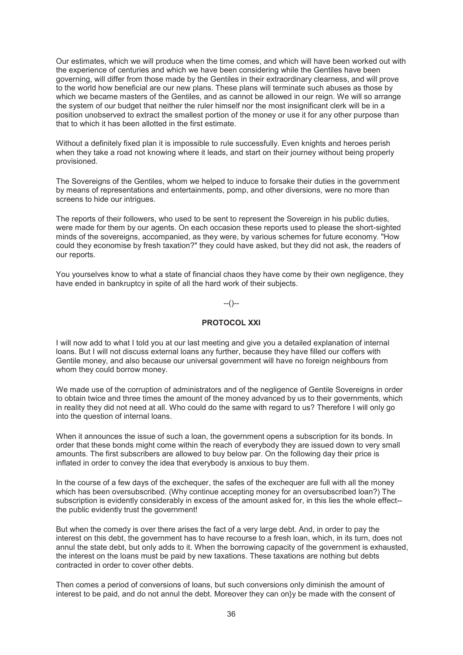Our estimates, which we will produce when the time comes, and which will have been worked out with the experience of centuries and which we have been considering while the Gentiles have been governing, will differ from those made by the Gentiles in their extraordinary clearness, and will prove to the world how beneficial are our new plans. These plans will terminate such abuses as those by which we became masters of the Gentiles, and as cannot be allowed in our reign. We will so arrange the system of our budget that neither the ruler himself nor the most insignificant clerk will be in a position unobserved to extract the smallest portion of the money or use it for any other purpose than that to which it has been allotted in the first estimate.

Without a definitely fixed plan it is impossible to rule successfully. Even knights and heroes perish when they take a road not knowing where it leads, and start on their journey without being properly provisioned.

The Sovereigns of the Gentiles, whom we helped to induce to forsake their duties in the government by means of representations and entertainments, pomp, and other diversions, were no more than screens to hide our intrigues.

The reports of their followers, who used to be sent to represent the Sovereign in his public duties, were made for them by our agents. On each occasion these reports used to please the short-sighted minds of the sovereigns, accompanied, as they were, by various schemes for future economy. "How could they economise by fresh taxation?" they could have asked, but they did not ask, the readers of our reports.

You yourselves know to what a state of financial chaos they have come by their own negligence, they have ended in bankruptcy in spite of all the hard work of their subjects.

#### $-(-)$

## **PROTOCOL XXI**

I will now add to what I told you at our last meeting and give you a detailed explanation of internal loans. But I will not discuss external loans any further, because they have filled our coffers with Gentile money, and also because our universal government will have no foreign neighbours from whom they could borrow money.

We made use of the corruption of administrators and of the negligence of Gentile Sovereigns in order to obtain twice and three times the amount of the money advanced by us to their governments, which in reality they did not need at all. Who could do the same with regard to us? Therefore I will only go into the question of internal loans.

When it announces the issue of such a loan, the government opens a subscription for its bonds. In order that these bonds might come within the reach of everybody they are issued down to very small amounts. The first subscribers are allowed to buy below par. On the following day their price is inflated in order to convey the idea that everybody is anxious to buy them.

In the course of a few days of the exchequer, the safes of the exchequer are full with all the money which has been oversubscribed. (Why continue accepting money for an oversubscribed loan?) The subscription is evidently considerably in excess of the amount asked for, in this lies the whole effect- the public evidently trust the government!

But when the comedy is over there arises the fact of a very large debt. And, in order to pay the interest on this debt, the government has to have recourse to a fresh loan, which, in its turn, does not annul the state debt, but only adds to it. When the borrowing capacity of the government is exhausted, the interest on the loans must be paid by new taxations. These taxations are nothing but debts contracted in order to cover other debts.

Then comes a period of conversions of loans, but such conversions only diminish the amount of interest to be paid, and do not annul the debt. Moreover they can on}y be made with the consent of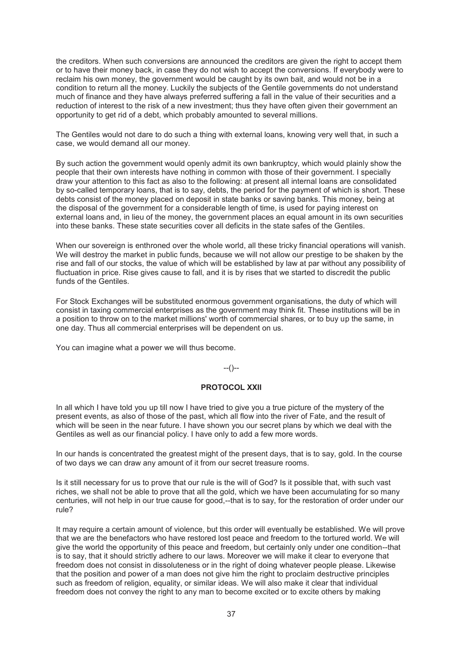the creditors. When such conversions are announced the creditors are given the right to accept them or to have their money back, in case they do not wish to accept the conversions. If everybody were to reclaim his own money, the government would be caught by its own bait, and would not be in a condition to return all the money. Luckily the subjects of the Gentile governments do not understand much of finance and they have always preferred suffering a fall in the value of their securities and a reduction of interest to the risk of a new investment; thus they have often given their government an opportunity to get rid of a debt, which probably amounted to several millions.

The Gentiles would not dare to do such a thing with external loans, knowing very well that, in such a case, we would demand all our money.

By such action the government would openly admit its own bankruptcy, which would plainly show the people that their own interests have nothing in common with those of their government. I specially draw your attention to this fact as also to the following: at present all internal loans are consolidated by so-called temporary loans, that is to say, debts, the period for the payment of which is short. These debts consist of the money placed on deposit in state banks or saving banks. This money, being at the disposal of the government for a considerable length of time, is used for paying interest on external loans and, in lieu of the money, the government places an equal amount in its own securities into these banks. These state securities cover all deficits in the state safes of the Gentiles.

When our sovereign is enthroned over the whole world, all these tricky financial operations will vanish. We will destroy the market in public funds, because we will not allow our prestige to be shaken by the rise and fall of our stocks, the value of which will be established by law at par without any possibility of fluctuation in price. Rise gives cause to fall, and it is by rises that we started to discredit the public funds of the Gentiles.

For Stock Exchanges will be substituted enormous government organisations, the duty of which will consist in taxing commercial enterprises as the government may think fit. These institutions will be in a position to throw on to the market millions' worth of commercial shares, or to buy up the same, in one day. Thus all commercial enterprises will be dependent on us.

You can imagine what a power we will thus become.

#### $-(-)$

## **PROTOCOL XXII**

In all which I have told you up till now I have tried to give you a true picture of the mystery of the present events, as also of those of the past, which all flow into the river of Fate, and the result of which will be seen in the near future. I have shown you our secret plans by which we deal with the Gentiles as well as our financial policy. I have only to add a few more words.

In our hands is concentrated the greatest might of the present days, that is to say, gold. In the course of two days we can draw any amount of it from our secret treasure rooms.

Is it still necessary for us to prove that our rule is the will of God? Is it possible that, with such vast riches, we shall not be able to prove that all the gold, which we have been accumulating for so many centuries, will not help in our true cause for good,--that is to say, for the restoration of order under our rule?

It may require a certain amount of violence, but this order will eventually be established. We will prove that we are the benefactors who have restored lost peace and freedom to the tortured world. We will give the world the opportunity of this peace and freedom, but certainly only under one condition--that is to say, that it should strictly adhere to our laws. Moreover we will make it clear to everyone that freedom does not consist in dissoluteness or in the right of doing whatever people please. Likewise that the position and power of a man does not give him the right to proclaim destructive principles such as freedom of religion, equality, or similar ideas. We will also make it clear that individual freedom does not convey the right to any man to become excited or to excite others by making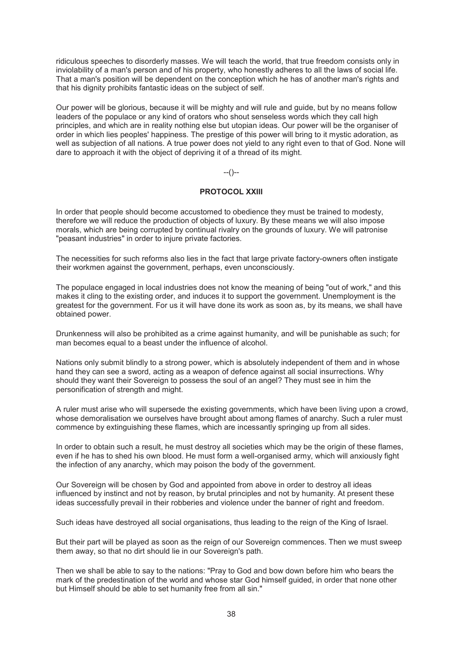ridiculous speeches to disorderly masses. We will teach the world, that true freedom consists only in inviolability of a man's person and of his property, who honestly adheres to all the laws of social life. That a man's position will be dependent on the conception which he has of another man's rights and that his dignity prohibits fantastic ideas on the subject of self.

Our power will be glorious, because it will be mighty and will rule and guide, but by no means follow leaders of the populace or any kind of orators who shout senseless words which they call high principles, and which are in reality nothing else but utopian ideas. Our power will be the organiser of order in which lies peoples' happiness. The prestige of this power will bring to it mystic adoration, as well as subjection of all nations. A true power does not yield to any right even to that of God. None will dare to approach it with the object of depriving it of a thread of its might.

#### --()--

#### **PROTOCOL XXIII**

In order that people should become accustomed to obedience they must be trained to modesty, therefore we will reduce the production of objects of luxury. By these means we will also impose morals, which are being corrupted by continual rivalry on the grounds of luxury. We will patronise "peasant industries" in order to injure private factories.

The necessities for such reforms also lies in the fact that large private factory-owners often instigate their workmen against the government, perhaps, even unconsciously.

The populace engaged in local industries does not know the meaning of being "out of work," and this makes it cling to the existing order, and induces it to support the government. Unemployment is the greatest for the government. For us it will have done its work as soon as, by its means, we shall have obtained power.

Drunkenness will also be prohibited as a crime against humanity, and will be punishable as such; for man becomes equal to a beast under the influence of alcohol.

Nations only submit blindly to a strong power, which is absolutely independent of them and in whose hand they can see a sword, acting as a weapon of defence against all social insurrections. Why should they want their Sovereign to possess the soul of an angel? They must see in him the personification of strength and might.

A ruler must arise who will supersede the existing governments, which have been living upon a crowd, whose demoralisation we ourselves have brought about among flames of anarchy. Such a ruler must commence by extinguishing these flames, which are incessantly springing up from all sides.

In order to obtain such a result, he must destroy all societies which may be the origin of these flames, even if he has to shed his own blood. He must form a well-organised army, which will anxiously fight the infection of any anarchy, which may poison the body of the government.

Our Sovereign will be chosen by God and appointed from above in order to destroy all ideas influenced by instinct and not by reason, by brutal principles and not by humanity. At present these ideas successfully prevail in their robberies and violence under the banner of right and freedom.

Such ideas have destroyed all social organisations, thus leading to the reign of the King of Israel.

But their part will be played as soon as the reign of our Sovereign commences. Then we must sweep them away, so that no dirt should lie in our Sovereign's path.

Then we shall be able to say to the nations: "Pray to God and bow down before him who bears the mark of the predestination of the world and whose star God himself guided, in order that none other but Himself should be able to set humanity free from all sin."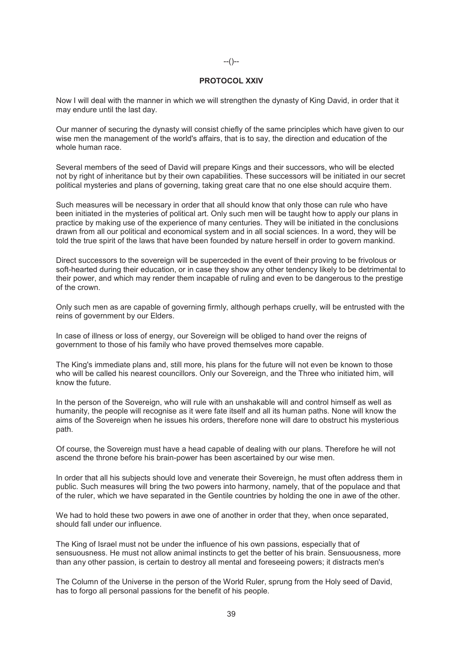# --()--

## **PROTOCOL XXIV**

Now I will deal with the manner in which we will strengthen the dynasty of King David, in order that it may endure until the last day.

Our manner of securing the dynasty will consist chiefly of the same principles which have given to our wise men the management of the world's affairs, that is to say, the direction and education of the whole human race.

Several members of the seed of David will prepare Kings and their successors, who will be elected not by right of inheritance but by their own capabilities. These successors will be initiated in our secret political mysteries and plans of governing, taking great care that no one else should acquire them.

Such measures will be necessary in order that all should know that only those can rule who have been initiated in the mysteries of political art. Only such men will be taught how to apply our plans in practice by making use of the experience of many centuries. They will be initiated in the conclusions drawn from all our political and economical system and in all social sciences. In a word, they will be told the true spirit of the laws that have been founded by nature herself in order to govern mankind.

Direct successors to the sovereign will be superceded in the event of their proving to be frivolous or soft-hearted during their education, or in case they show any other tendency likely to be detrimental to their power, and which may render them incapable of ruling and even to be dangerous to the prestige of the crown.

Only such men as are capable of governing firmly, although perhaps cruelly, will be entrusted with the reins of government by our Elders.

In case of illness or loss of energy, our Sovereign will be obliged to hand over the reigns of government to those of his family who have proved themselves more capable.

The King's immediate plans and, still more, his plans for the future will not even be known to those who will be called his nearest councillors. Only our Sovereign, and the Three who initiated him, will know the future.

In the person of the Sovereign, who will rule with an unshakable will and control himself as well as humanity, the people will recognise as it were fate itself and all its human paths. None will know the aims of the Sovereign when he issues his orders, therefore none will dare to obstruct his mysterious path.

Of course, the Sovereign must have a head capable of dealing with our plans. Therefore he will not ascend the throne before his brain-power has been ascertained by our wise men.

In order that all his subjects should love and venerate their Sovereign, he must often address them in public. Such measures will bring the two powers into harmony, namely, that of the populace and that of the ruler, which we have separated in the Gentile countries by holding the one in awe of the other.

We had to hold these two powers in awe one of another in order that they, when once separated, should fall under our influence.

The King of Israel must not be under the influence of his own passions, especially that of sensuousness. He must not allow animal instincts to get the better of his brain. Sensuousness, more than any other passion, is certain to destroy all mental and foreseeing powers; it distracts men's

The Column of the Universe in the person of the World Ruler, sprung from the Holy seed of David, has to forgo all personal passions for the benefit of his people.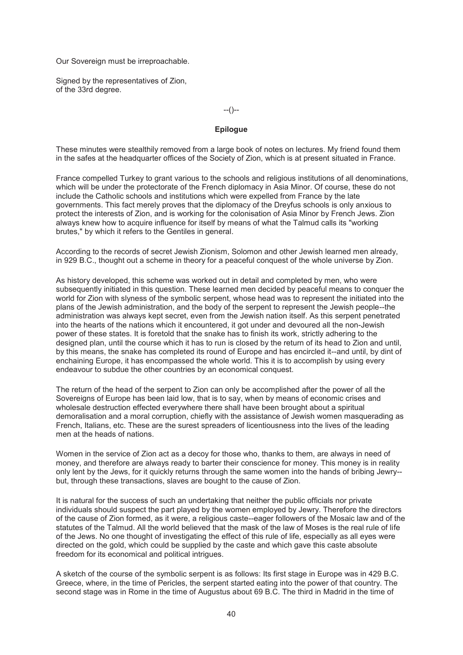Our Sovereign must be irreproachable.

Signed by the representatives of Zion, of the 33rd degree.

#### --()--

#### **Epilogue**

These minutes were stealthily removed from a large book of notes on lectures. My friend found them in the safes at the headquarter offices of the Society of Zion, which is at present situated in France.

France compelled Turkey to grant various to the schools and religious institutions of all denominations, which will be under the protectorate of the French diplomacy in Asia Minor. Of course, these do not include the Catholic schools and institutions which were expelled from France by the late governments. This fact merely proves that the diplomacy of the Dreyfus schools is only anxious to protect the interests of Zion, and is working for the colonisation of Asia Minor by French Jews. Zion always knew how to acquire influence for itself by means of what the Talmud calls its "working brutes," by which it refers to the Gentiles in general.

According to the records of secret Jewish Zionism, Solomon and other Jewish learned men already, in 929 B.C., thought out a scheme in theory for a peaceful conquest of the whole universe by Zion.

As history developed, this scheme was worked out in detail and completed by men, who were subsequently initiated in this question. These learned men decided by peaceful means to conquer the world for Zion with slyness of the symbolic serpent, whose head was to represent the initiated into the plans of the Jewish administration, and the body of the serpent to represent the Jewish people--the administration was always kept secret, even from the Jewish nation itself. As this serpent penetrated into the hearts of the nations which it encountered, it got under and devoured all the non-Jewish power of these states. It is foretold that the snake has to finish its work, strictly adhering to the designed plan, until the course which it has to run is closed by the return of its head to Zion and until, by this means, the snake has completed its round of Europe and has encircled it--and until, by dint of enchaining Europe, it has encompassed the whole world. This it is to accomplish by using every endeavour to subdue the other countries by an economical conquest.

The return of the head of the serpent to Zion can only be accomplished after the power of all the Sovereigns of Europe has been laid low, that is to say, when by means of economic crises and wholesale destruction effected everywhere there shall have been brought about a spiritual demoralisation and a moral corruption, chiefly with the assistance of Jewish women masquerading as French, Italians, etc. These are the surest spreaders of licentiousness into the lives of the leading men at the heads of nations.

Women in the service of Zion act as a decoy for those who, thanks to them, are always in need of money, and therefore are always ready to barter their conscience for money. This money is in reality only lent by the Jews, for it quickly returns through the same women into the hands of bribing Jewry- but, through these transactions, slaves are bought to the cause of Zion.

It is natural for the success of such an undertaking that neither the public officials nor private individuals should suspect the part played by the women employed by Jewry. Therefore the directors of the cause of Zion formed, as it were, a religious caste--eager followers of the Mosaic law and of the statutes of the Talmud. All the world believed that the mask of the law of Moses is the real rule of life of the Jews. No one thought of investigating the effect of this rule of life, especially as all eyes were directed on the gold, which could be supplied by the caste and which gave this caste absolute freedom for its economical and political intrigues.

A sketch of the course of the symbolic serpent is as follows: Its first stage in Europe was in 429 B.C. Greece, where, in the time of Pericles, the serpent started eating into the power of that country. The second stage was in Rome in the time of Augustus about 69 B.C. The third in Madrid in the time of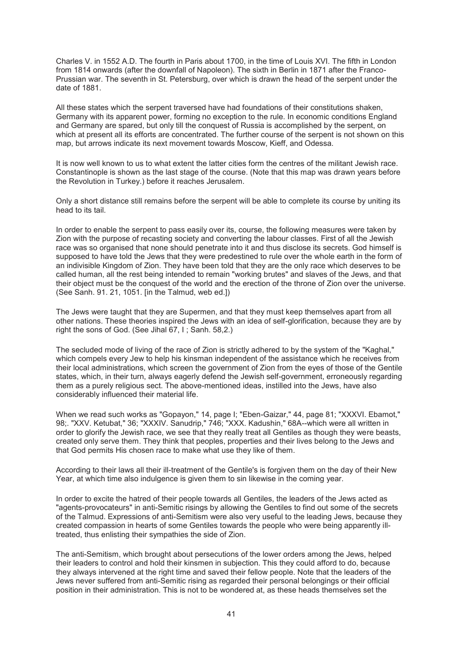Charles V. in 1552 A.D. The fourth in Paris about 1700, in the time of Louis XVI. The fifth in London from 1814 onwards (after the downfall of Napoleon). The sixth in Berlin in 1871 after the Franco-Prussian war. The seventh in St. Petersburg, over which is drawn the head of the serpent under the date of 1881.

All these states which the serpent traversed have had foundations of their constitutions shaken, Germany with its apparent power, forming no exception to the rule. In economic conditions England and Germany are spared, but only till the conquest of Russia is accomplished by the serpent, on which at present all its efforts are concentrated. The further course of the serpent is not shown on this map, but arrows indicate its next movement towards Moscow, Kieff, and Odessa.

It is now well known to us to what extent the latter cities form the centres of the militant Jewish race. Constantinople is shown as the last stage of the course. (Note that this map was drawn years before the Revolution in Turkey.) before it reaches Jerusalem.

Only a short distance still remains before the serpent will be able to complete its course by uniting its head to its tail.

In order to enable the serpent to pass easily over its, course, the following measures were taken by Zion with the purpose of recasting society and converting the labour classes. First of all the Jewish race was so organised that none should penetrate into it and thus disclose its secrets. God himself is supposed to have told the Jews that they were predestined to rule over the whole earth in the form of an indivisible Kingdom of Zion. They have been told that they are the only race which deserves to be called human, all the rest being intended to remain "working brutes" and slaves of the Jews, and that their object must be the conquest of the world and the erection of the throne of Zion over the universe. (See Sanh. 91. 21, 1051. [in the Talmud, web ed.])

The Jews were taught that they are Supermen, and that they must keep themselves apart from all other nations. These theories inspired the Jews with an idea of self-glorification, because they are by right the sons of God. (See Jihal 67, I ; Sanh. 58,2.)

The secluded mode of living of the race of Zion is strictly adhered to by the system of the "Kaghal," which compels every Jew to help his kinsman independent of the assistance which he receives from their local administrations, which screen the government of Zion from the eyes of those of the Gentile states, which, in their turn, always eagerly defend the Jewish self-government, erroneously regarding them as a purely religious sect. The above-mentioned ideas, instilled into the Jews, have also considerably influenced their material life.

When we read such works as "Gopayon," 14, page I; "Eben-Gaizar," 44, page 81; "XXXVI. Ebamot," 98;. "XXV. Ketubat," 36; "XXXIV. Sanudrip," 746; "XXX. Kadushin," 68A--which were all written in order to glorify the Jewish race, we see that they really treat all Gentiles as though they were beasts, created only serve them. They think that peoples, properties and their lives belong to the Jews and that God permits His chosen race to make what use they like of them.

According to their laws all their ill-treatment of the Gentile's is forgiven them on the day of their New Year, at which time also indulgence is given them to sin likewise in the coming year.

In order to excite the hatred of their people towards all Gentiles, the leaders of the Jews acted as "agents-provocateurs" in anti-Semitic risings by allowing the Gentiles to find out some of the secrets of the Talmud. Expressions of anti-Semitism were also very useful to the leading Jews, because they created compassion in hearts of some Gentiles towards the people who were being apparently illtreated, thus enlisting their sympathies the side of Zion.

The anti-Semitism, which brought about persecutions of the lower orders among the Jews, helped their leaders to control and hold their kinsmen in subjection. This they could afford to do, because they always intervened at the right time and saved their fellow people. Note that the leaders of the Jews never suffered from anti-Semitic rising as regarded their personal belongings or their official position in their administration. This is not to be wondered at, as these heads themselves set the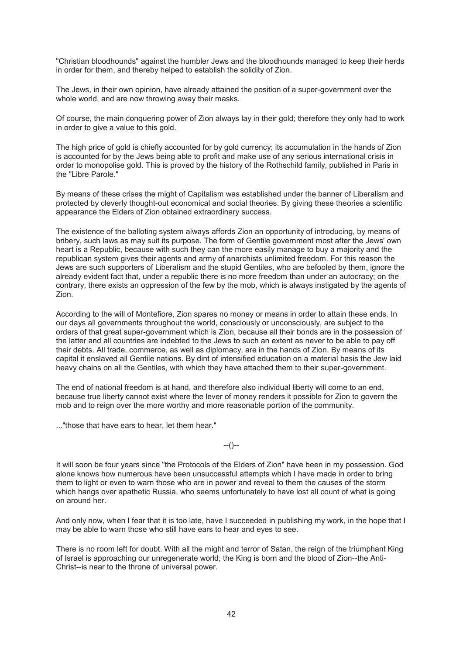"Christian bloodhounds" against the humbler Jews and the bloodhounds managed to keep their herds in order for them, and thereby helped to establish the solidity of Zion.

The Jews, in their own opinion, have already attained the position of a super-government over the whole world, and are now throwing away their masks.

Of course, the main conquering power of Zion always lay in their gold; therefore they only had to work in order to give a value to this gold.

The high price of gold is chiefly accounted for by gold currency; its accumulation in the hands of Zion is accounted for by the Jews being able to profit and make use of any serious international crisis in order to monopolise gold. This is proved by the history of the Rothschild family, published in Paris in the "Libre Parole."

By means of these crises the might of Capitalism was established under the banner of Liberalism and protected by cleverly thought-out economical and social theories. By giving these theories a scientific appearance the Elders of Zion obtained extraordinary success.

The existence of the balloting system always affords Zion an opportunity of introducing, by means of bribery, such laws as may suit its purpose. The form of Gentile government most after the Jews' own heart is a Republic, because with such they can the more easily manage to buy a majority and the republican system gives their agents and army of anarchists unlimited freedom. For this reason the Jews are such supporters of Liberalism and the stupid Gentiles, who are befooled by them, ignore the already evident fact that, under a republic there is no more freedom than under an autocracy; on the contrary, there exists an oppression of the few by the mob, which is always instigated by the agents of Zion.

According to the will of Montefiore, Zion spares no money or means in order to attain these ends. In our days all governments throughout the world, consciously or unconsciously, are subject to the orders of that great super-government which is Zion, because all their bonds are in the possession of the latter and all countries are indebted to the Jews to such an extent as never to be able to pay off their debts. All trade, commerce, as well as diplomacy, are in the hands of Zion. By means of its capital it enslaved all Gentile nations. By dint of intensified education on a material basis the Jew laid heavy chains on all the Gentiles, with which they have attached them to their super-government.

The end of national freedom is at hand, and therefore also individual liberty will come to an end, because true liberty cannot exist where the lever of money renders it possible for Zion to govern the mob and to reign over the more worthy and more reasonable portion of the community.

..."those that have ears to hear, let them hear."

--()--

It will soon be four years since "the Protocols of the Elders of Zion" have been in my possession. God alone knows how numerous have been unsuccessful attempts which I have made in order to bring them to light or even to warn those who are in power and reveal to them the causes of the storm which hangs over apathetic Russia, who seems unfortunately to have lost all count of what is going on around her.

And only now, when I fear that it is too late, have I succeeded in publishing my work, in the hope that I may be able to warn those who still have ears to hear and eyes to see.

There is no room left for doubt. With all the might and terror of Satan, the reign of the triumphant King of Israel is approaching our unregenerate world; the King is born and the blood of Zion--the Anti-Christ--is near to the throne of universal power.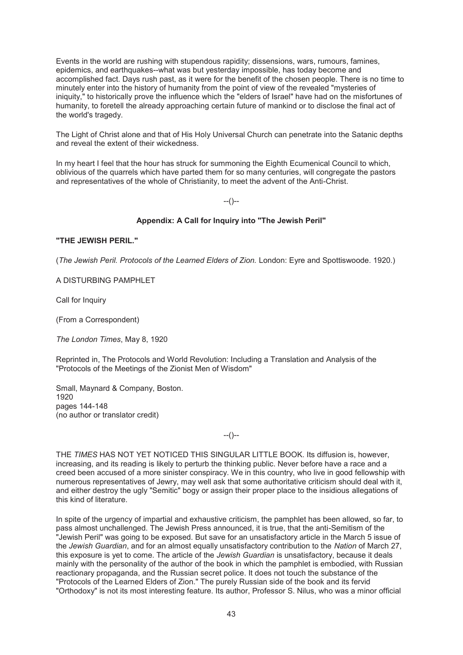Events in the world are rushing with stupendous rapidity; dissensions, wars, rumours, famines, epidemics, and earthquakes--what was but yesterday impossible, has today become and accomplished fact. Days rush past, as it were for the benefit of the chosen people. There is no time to minutely enter into the history of humanity from the point of view of the revealed "mysteries of iniquity," to historically prove the influence which the "elders of Israel" have had on the misfortunes of humanity, to foretell the already approaching certain future of mankind or to disclose the final act of the world's tragedy.

The Light of Christ alone and that of His Holy Universal Church can penetrate into the Satanic depths and reveal the extent of their wickedness.

In my heart I feel that the hour has struck for summoning the Eighth Ecumenical Council to which, oblivious of the quarrels which have parted them for so many centuries, will congregate the pastors and representatives of the whole of Christianity, to meet the advent of the Anti-Christ.

 $-(-)$ 

#### **Appendix: A Call for Inquiry into "The Jewish Peril"**

#### **"THE JEWISH PERIL."**

(*The Jewish Peril. Protocols of the Learned Elders of Zion.* London: Eyre and Spottiswoode. 1920.)

A DISTURBING PAMPHLET

Call for Inquiry

(From a Correspondent)

*The London Times*, May 8, 1920

Reprinted in, The Protocols and World Revolution: Including a Translation and Analysis of the "Protocols of the Meetings of the Zionist Men of Wisdom"

Small, Maynard & Company, Boston. 1920 pages 144-148 (no author or translator credit)

--()--

THE *TIMES* HAS NOT YET NOTICED THIS SINGULAR LITTLE BOOK. Its diffusion is, however, increasing, and its reading is likely to perturb the thinking public. Never before have a race and a creed been accused of a more sinister conspiracy. We in this country, who live in good fellowship with numerous representatives of Jewry, may well ask that some authoritative criticism should deal with it, and either destroy the ugly "Semitic" bogy or assign their proper place to the insidious allegations of this kind of literature.

In spite of the urgency of impartial and exhaustive criticism, the pamphlet has been allowed, so far, to pass almost unchallenged. The Jewish Press announced, it is true, that the anti-Semitism of the "Jewish Peril" was going to be exposed. But save for an unsatisfactory article in the March 5 issue of the *Jewish Guardian*, and for an almost equally unsatisfactory contribution to the *Nation* of March 27, this exposure is yet to come. The article of the *Jewish Guardian* is unsatisfactory, because it deals mainly with the personality of the author of the book in which the pamphlet is embodied, with Russian reactionary propaganda, and the Russian secret police. It does not touch the substance of the "Protocols of the Learned Elders of Zion." The purely Russian side of the book and its fervid "Orthodoxy" is not its most interesting feature. Its author, Professor S. Nilus, who was a minor official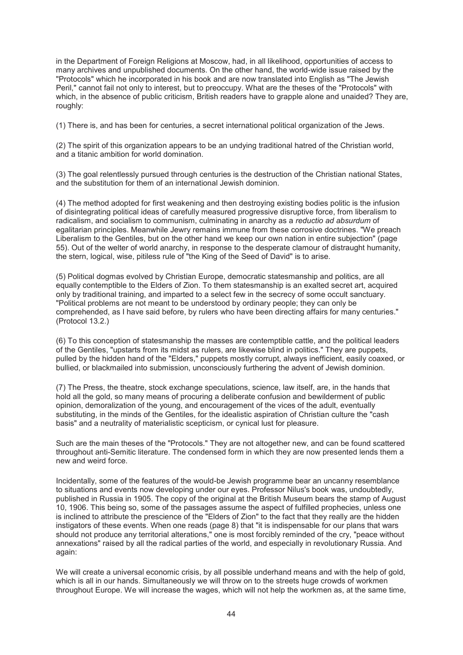in the Department of Foreign Religions at Moscow, had, in all likelihood, opportunities of access to many archives and unpublished documents. On the other hand, the world-wide issue raised by the "Protocols" which he incorporated in his book and are now translated into English as "The Jewish Peril," cannot fail not only to interest, but to preoccupy. What are the theses of the "Protocols" with which, in the absence of public criticism, British readers have to grapple alone and unaided? They are, roughly:

(1) There is, and has been for centuries, a secret international political organization of the Jews.

(2) The spirit of this organization appears to be an undying traditional hatred of the Christian world, and a titanic ambition for world domination.

(3) The goal relentlessly pursued through centuries is the destruction of the Christian national States, and the substitution for them of an international Jewish dominion.

(4) The method adopted for first weakening and then destroying existing bodies politic is the infusion of disintegrating political ideas of carefully measured progressive disruptive force, from liberalism to radicalism, and socialism to communism, culminating in anarchy as a *reductio ad absurdum* of egalitarian principles. Meanwhile Jewry remains immune from these corrosive doctrines. "We preach Liberalism to the Gentiles, but on the other hand we keep our own nation in entire subjection" (page 55). Out of the welter of world anarchy, in response to the desperate clamour of distraught humanity, the stern, logical, wise, pitiless rule of "the King of the Seed of David" is to arise.

(5) Political dogmas evolved by Christian Europe, democratic statesmanship and politics, are all equally contemptible to the Elders of Zion. To them statesmanship is an exalted secret art, acquired only by traditional training, and imparted to a select few in the secrecy of some occult sanctuary. "Political problems are not meant to be understood by ordinary people; they can only be comprehended, as I have said before, by rulers who have been directing affairs for many centuries." (Protocol 13.2.)

(6) To this conception of statesmanship the masses are contemptible cattle, and the political leaders of the Gentiles, "upstarts from its midst as rulers, are likewise blind in politics." They are puppets, pulled by the hidden hand of the "Elders," puppets mostly corrupt, always inefficient, easily coaxed, or bullied, or blackmailed into submission, unconsciously furthering the advent of Jewish dominion.

(7) The Press, the theatre, stock exchange speculations, science, law itself, are, in the hands that hold all the gold, so many means of procuring a deliberate confusion and bewilderment of public opinion, demoralization of the young, and encouragement of the vices of the adult, eventually substituting, in the minds of the Gentiles, for the idealistic aspiration of Christian culture the "cash basis" and a neutrality of materialistic scepticism, or cynical lust for pleasure.

Such are the main theses of the "Protocols." They are not altogether new, and can be found scattered throughout anti-Semitic literature. The condensed form in which they are now presented lends them a new and weird force.

Incidentally, some of the features of the would-be Jewish programme bear an uncanny resemblance to situations and events now developing under our eyes. Professor Nilus's book was, undoubtedly, published in Russia in 1905. The copy of the original at the British Museum bears the stamp of August 10, 1906. This being so, some of the passages assume the aspect of fulfilled prophecies, unless one is inclined to attribute the prescience of the "Elders of Zion" to the fact that they really are the hidden instigators of these events. When one reads (page 8) that "it is indispensable for our plans that wars should not produce any territorial alterations," one is most forcibly reminded of the cry, "peace without annexations" raised by all the radical parties of the world, and especially in revolutionary Russia. And again:

We will create a universal economic crisis, by all possible underhand means and with the help of gold, which is all in our hands. Simultaneously we will throw on to the streets huge crowds of workmen throughout Europe. We will increase the wages, which will not help the workmen as, at the same time,